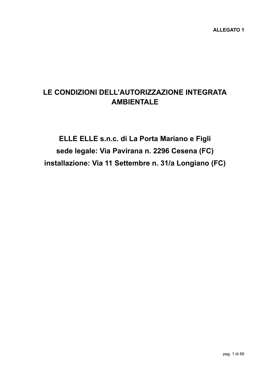# **LE CONDIZIONI DELL'AUTORIZZAZIONE INTEGRATA AMBIENTALE**

**ELLE ELLE s.n.c. di La Porta Mariano e Figli sede legale: Via Pavirana n. 2296 Cesena (FC) installazione: Via 11 Settembre n. 31/a Longiano (FC)**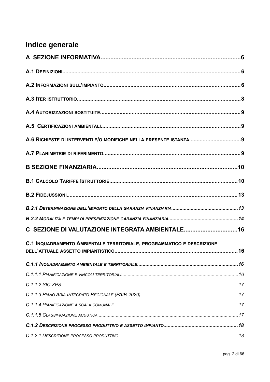# Indice generale

| C SEZIONE DI VALUTAZIONE INTEGRATA AMBIENTALE16                        |  |
|------------------------------------------------------------------------|--|
| C.1 INQUADRAMENTO AMBIENTALE TERRITORIALE, PROGRAMMATICO E DESCRIZIONE |  |
|                                                                        |  |
|                                                                        |  |
|                                                                        |  |
|                                                                        |  |
|                                                                        |  |
|                                                                        |  |
|                                                                        |  |
|                                                                        |  |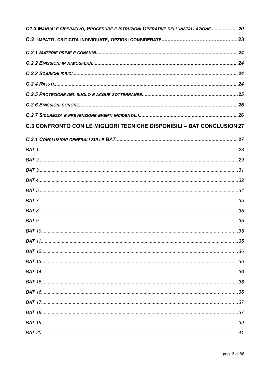| C1.3 MANUALE OPERATIVO, PROCEDURE E ISTRUZIONI OPERATIVE DELL'INSTALLAZIONE20 |  |
|-------------------------------------------------------------------------------|--|
|                                                                               |  |
|                                                                               |  |
|                                                                               |  |
|                                                                               |  |
|                                                                               |  |
|                                                                               |  |
|                                                                               |  |
|                                                                               |  |
| <b>C.3 CONFRONTO CON LE MIGLIORI TECNICHE DISPONIBILI - BAT CONCLUSION 27</b> |  |
|                                                                               |  |
|                                                                               |  |
|                                                                               |  |
|                                                                               |  |
|                                                                               |  |
|                                                                               |  |
|                                                                               |  |
|                                                                               |  |
|                                                                               |  |
|                                                                               |  |
|                                                                               |  |
|                                                                               |  |
|                                                                               |  |
|                                                                               |  |
|                                                                               |  |
|                                                                               |  |
|                                                                               |  |
|                                                                               |  |
|                                                                               |  |
|                                                                               |  |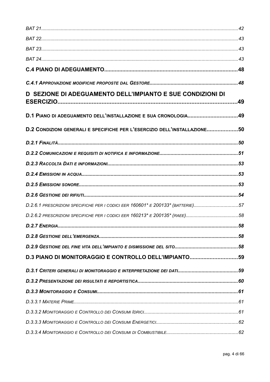| D SEZIONE DI ADEGUAMENTO DELL'IMPIANTO E SUE CONDIZIONI DI                      |  |
|---------------------------------------------------------------------------------|--|
| D.1 PIANO DI ADEGUAMENTO DELL'INSTALLAZIONE E SUA CRONOLOGIA49                  |  |
| D.2 CONDIZIONI GENERALI E SPECIFICHE PER L'ESERCIZIO DELL'INSTALLAZIONE50       |  |
|                                                                                 |  |
|                                                                                 |  |
|                                                                                 |  |
|                                                                                 |  |
|                                                                                 |  |
|                                                                                 |  |
| D.2.6.1 PRESCRIZIONI SPECIFICHE PER I CODICI EER 160601* E 200133* (BATTERIE)57 |  |
|                                                                                 |  |
|                                                                                 |  |
|                                                                                 |  |
|                                                                                 |  |
| D.3 PIANO DI MONITORAGGIO E CONTROLLO DELL'IMPIANTO59                           |  |
|                                                                                 |  |
|                                                                                 |  |
|                                                                                 |  |
|                                                                                 |  |
|                                                                                 |  |
|                                                                                 |  |
|                                                                                 |  |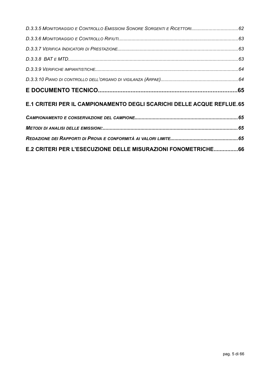| E.1 CRITERI PER IL CAMPIONAMENTO DEGLI SCARICHI DELLE ACQUE REFLUE.65 |  |
|-----------------------------------------------------------------------|--|
|                                                                       |  |
|                                                                       |  |
|                                                                       |  |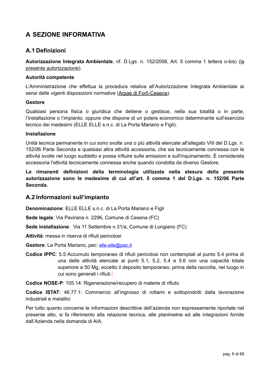## <span id="page-5-2"></span>**A SEZIONE INFORMATIVA**

### <span id="page-5-1"></span>**A.1 Definizioni**

**Autorizzazione Integrata Ambientale**, rif. D.Lgs. n. 152/2006, Art. 5 comma 1 lettera o-bis) (la presente autorizzazione).

#### **Autorità competente**

L'Amministrazione che effettua la procedura relativa all'Autorizzazione Integrata Ambientale ai sensi delle vigenti disposizioni normative (Arpae di Forlì-Cesena).

#### **Gestore**

Qualsiasi persona fisica o giuridica che detiene o gestisce, nella sua totalità o in parte, l'installazione o l'impianto, oppure che dispone di un potere economico determinante sull'esercizio tecnico dei medesimi (ELLE ELLE s.n.c. di La Porta Mariano e Figli).

#### **Installazione**

Unità tecnica permanente in cui sono svolte una o più attività elencate all'allegato VIII del D.Lgs. n. 152/06 Parte Seconda e qualsiasi altra attività accessoria, che sia tecnicamente connessa con le attività svolte nel luogo suddetto e possa influire sulle emissioni e sull'inquinamento. È considerata accessoria l'attività tecnicamente connessa anche quando condotta da diverso Gestore.

**Le rimanenti definizioni della terminologia utilizzata nella stesura della presente autorizzazione sono le medesime di cui all'art. 5 comma 1 del D.Lgs. n. 152/06 Parte Seconda.**

#### <span id="page-5-0"></span>**A.2 Informazioni sull'impianto**

**Denominazione**: ELLE ELLE s.n.c. di La Porta Mariano e Figli

**Sede legale**: Via Pavirana n. 2296, Comune di Cesena (FC)

**Sede installazione**: Via 11 Settembre n.31/a, Comune di Longiano (FC)

**Attività**: messa in riserva di rifiuti pericolosi

Gestore: La Porta Mariano, pec: elle-elle@pec.it

**Codice IPPC**: 5.5 Accumulo temporaneo di rifiuti pericolosi non contemplati al punto 5.4 prima di una delle attività elencate ai punti 5.1, 5.2, 5.4 e 5.6 con una capacità totale superiore a 50 Mg, eccetto il deposito temporaneo, prima della raccolta, nel luogo in cui sono generati i rifiuti.

**Codice NOSE-P**: 105.14: Rigenerazione/recupero di materie di rifiuto

**Codice ISTAT**: 46.77.1: Commercio all'ingrosso di rottami e sottoprodotti dalla lavorazione industriali e metallici

Per tutto quanto concerne le informazioni descrittive dell'azienda non espressamente riportate nel presente atto, si fa riferimento alla relazione tecnica, alle planimetrie ed alle integrazioni fornite dall'Azienda nella domanda di AIA.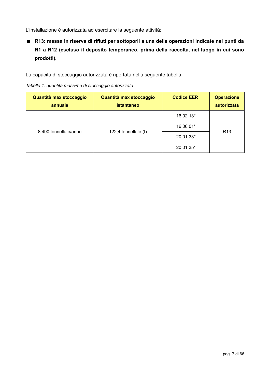L'installazione è autorizzata ad esercitare la seguente attività:

 **R13: messa in riserva di rifiuti per sottoporli a una delle operazioni indicate nei punti da R1 a R12 (escluso il deposito temporaneo, prima della raccolta, nel luogo in cui sono prodotti).**

La capacità di stoccaggio autorizzata è riportata nella seguente tabella:

*Tabella 1: quantità massime di stoccaggio autorizzate*

| Quantità max stoccaggio<br>annuale | Quantità max stoccaggio<br><b>istantaneo</b> | <b>Codice EER</b> | <b>Operazione</b><br>autorizzata |
|------------------------------------|----------------------------------------------|-------------------|----------------------------------|
| 8.490 tonnellate/anno              | 122,4 tonnellate $(t)$                       | 16 02 13*         |                                  |
|                                    |                                              | 16 06 01*         | R <sub>13</sub>                  |
|                                    |                                              | 20 01 33*         |                                  |
|                                    |                                              | 20 01 35*         |                                  |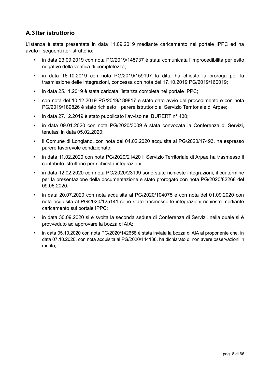## <span id="page-7-0"></span>**A.3 Iter istruttorio**

L'istanza è stata presentata in data 11.09.2019 mediante caricamento nel portale IPPC ed ha avuto il seguenti iter istruttorio:

- in data 23.09.2019 con nota PG/2019/145737 è stata comunicata l'improcedibilità per esito negativo della verifica di completezza;
- in data 16.10.2019 con nota PG/2019/159197 la ditta ha chiesto la proroga per la trasmissione delle integrazioni, concessa con nota del 17.10.2019 PG/2019/160019;
- in data 25.11.2019 è stata caricata l'istanza completa nel portale IPPC;
- con nota del 10.12.2019 PG/2019/189817 è stato dato avvio del procedimento e con nota PG/2019/189826 è stato richiesto il parere istruttorio al Servizio Territoriale di Arpae;
- in data 27.12.2019 è stato pubblicato l'avviso nel BURERT n° 430;
- in data 09.01.2020 con nota PG/2020/3009 è stata convocata la Conferenza di Servizi, tenutasi in data 05.02.2020;
- il Comune di Longiano, con nota del 04.02.2020 acquisita al PG/2020/17493, ha espresso parere favorevole condizionato;
- in data 11.02.2020 con nota PG/2020/21420 il Servizio Territoriale di Arpae ha trasmesso il contributo istruttorio per richiesta integrazioni;
- in data 12.02.2020 con nota PG/2020/23199 sono state richieste integrazioni, il cui termine per la presentazione della documentazione è stato prorogato con nota PG/2020/82268 del 09.06.2020;
- in data 20.07.2020 con nota acquisita al PG/2020/104075 e con nota del 01.09.2020 con nota acquisita al PG/2020/125141 sono state trasmesse le integrazioni richieste mediante caricamento sul portale IPPC;
- in data 30.09.2020 si è svolta la seconda seduta di Conferenza di Servizi, nella quale si è provveduto ad approvare la bozza di AIA;
- in data 05.10.2020 con nota PG/2020/142658 è stata inviata la bozza di AIA al proponente che, in data 07.10.2020, con nota acquisita al PG/2020/144138, ha dichiarato di non avere osservazioni in merito;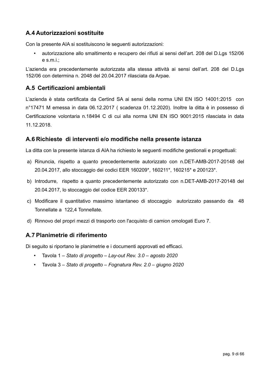### <span id="page-8-3"></span>**A.4 Autorizzazioni sostituite**

Con la presente AIA si sostituiscono le seguenti autorizzazioni:

• autorizzazione allo smaltimento e recupero dei rifiuti ai sensi dell'art. 208 del D.Lgs 152/06 e s.m.i.;

L'azienda era precedentemente autorizzata alla stessa attività ai sensi dell'art. 208 del D.Lgs 152/06 con determina n. 2048 del 20.04.2017 rilasciata da Arpae.

### <span id="page-8-2"></span>**A.5 Certificazioni ambientali**

L'azienda è stata certificata da Certind SA ai sensi della norma UNI EN ISO 14001:2015 con n°17471 M emessa in data 06.12.2017 ( scadenza 01.12.2020). Inoltre la ditta è in possesso di Certificazione volontaria n.18494 C di cui alla norma UNI EN ISO 9001:2015 rilasciata in data 11.12.2018.

### <span id="page-8-1"></span>**A.6 Richieste di interventi e/o modifiche nella presente istanza**

La ditta con la presente istanza di AIA ha richiesto le seguenti modifiche gestionali e progettuali:

- a) Rinuncia, rispetto a quanto precedentemente autorizzato con n.DET-AMB-2017-20148 del 20.04.2017, allo stoccaggio dei codici EER 160209\*, 160211\*, 160215\* e 200123\*.
- b) Introdurre, rispetto a quanto precedentemente autorizzato con n.DET-AMB-2017-20148 del 20.04.2017, lo stoccaggio del codice EER 200133\*.
- c) Modificare il quantitativo massimo istantaneo di stoccaggio autorizzato passando da 48 Tonnellate a 122,4 Tonnellate.
- d) Rinnovo del propri mezzi di trasporto con l'acquisto di camion omologati Euro 7.

### <span id="page-8-0"></span>**A.7 Planimetrie di riferimento**

Di seguito si riportano le planimetrie e i documenti approvati ed efficaci.

- Tavola 1 – *Stato di progetto Lay-out Rev. 3.0 agosto 2020*
- Tavola 3 – *Stato di progetto Fognatura Rev. 2.0 giugno 2020*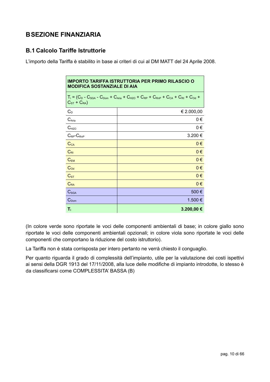## <span id="page-9-1"></span>**BSEZIONE FINANZIARIA**

### <span id="page-9-0"></span>**B.1 Calcolo Tariffe Istruttorie**

L'importo della Tariffa è stabilito in base ai criteri di cui al DM MATT del 24 Aprile 2008.

| <b>IMPORTO TARIFFA ISTRUTTORIA PER PRIMO RILASCIO O</b><br><b>MODIFICA SOSTANZIALE DI AIA</b>                                  |            |  |  |
|--------------------------------------------------------------------------------------------------------------------------------|------------|--|--|
| $T_i = (C_D - C_{SGA} - C_{Dom} + C_{Aria} + C_{H2O} + C_{RP} + C_{RnP} + C_{CA} + C_{RI} + C_{Od} +$<br>$C_{ST}$ + $C_{RA}$ ) |            |  |  |
| $C_D$                                                                                                                          | € 2.000,00 |  |  |
| $C_{\text{Aria}}$                                                                                                              | 0€         |  |  |
| $C_{H2O}$                                                                                                                      | $0 \in$    |  |  |
| $C_{RP}$ - $C_{RnP}$                                                                                                           | 3.200€     |  |  |
| $C_{CA}$                                                                                                                       | $0 \in$    |  |  |
| $C_{\rm RI}$                                                                                                                   | $0 \in$    |  |  |
| $C_{EM}$                                                                                                                       | $0 \in$    |  |  |
| $C_{Od}$                                                                                                                       | $0 \in$    |  |  |
| $C_{ST}$                                                                                                                       | $0 \in$    |  |  |
| $C_{RA}$                                                                                                                       | $0 \in$    |  |  |
| C <sub>SGA</sub>                                                                                                               | 500€       |  |  |
| $C_{Dom}$                                                                                                                      | 1.500 €    |  |  |
| Т,                                                                                                                             | 3.200,00 € |  |  |

(In colore verde sono riportate le voci delle componenti ambientali di base; in colore giallo sono riportate le voci delle componenti ambientali opzionali; in colore viola sono riportate le voci delle componenti che comportano la riduzione del costo istruttorio).

La Tariffa non è stata corrisposta per intero pertanto ne verrà chiesto il conguaglio.

Per quanto riguarda il grado di complessità dell'impianto, utile per la valutazione dei costi ispettivi ai sensi della DGR 1913 del 17/11/2008, alla luce delle modifiche di impianto introdotte, lo stesso è da classificarsi come COMPLESSITA' BASSA (B)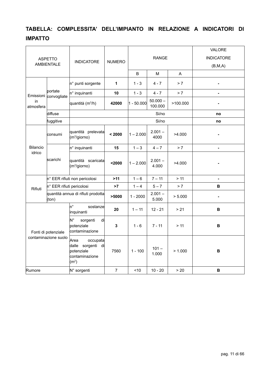## **TABELLA: COMPLESSITA' DELL'IMPIANTO IN RELAZIONE A INDICATORI DI IMPATTO**

| <b>ASPETTO</b><br><b>AMBIENTALE</b>         |                           | <b>INDICATORE</b>                                    | <b>NUMERO</b>                                                                                 | <b>RANGE</b> |                       |                  | <b>VALORE</b><br><b>INDICATORE</b> |
|---------------------------------------------|---------------------------|------------------------------------------------------|-----------------------------------------------------------------------------------------------|--------------|-----------------------|------------------|------------------------------------|
|                                             |                           |                                                      |                                                                                               |              |                       |                  | (B, M, A)                          |
|                                             |                           |                                                      |                                                                                               | B            | м                     | A                |                                    |
|                                             |                           | n° punti sorgente                                    | 1                                                                                             | $1 - 3$      | $4 - 7$               | > 7              |                                    |
| Emissioni                                   | bortate<br>convogliate    | n° inquinanti                                        | 10                                                                                            | $1 - 3$      | $4 - 7$               | > 7              |                                    |
| in<br>atmosfera                             |                           | quantità (m <sup>3</sup> /h)                         | 42000                                                                                         | $1 - 50.000$ | $50.000 -$<br>100.000 | >100.000         |                                    |
|                                             | diffuse                   |                                                      |                                                                                               |              | Si/no                 |                  | no                                 |
|                                             | fuggitive                 |                                                      |                                                                                               |              | Si/no                 |                  | no                                 |
|                                             | consumi                   | quantità prelevata<br>$(m^3$ /giorno)                | < 2000                                                                                        | $1 - 2.000$  | $2.001 -$<br>4000     | >4.000           |                                    |
| <b>Bilancio</b>                             |                           | n° inquinanti                                        | 15                                                                                            | $1 - 3$      | $4 - 7$               | $> 7$            | $\blacksquare$                     |
| idrico                                      | lscarichi                 | quantità scaricata<br>(m <sup>3</sup> /giorno)       | $2000$                                                                                        | $1 - 2.000$  | $2.001 -$<br>4.000    | >4.000           |                                    |
|                                             |                           | n° EER rifiuti non pericolosi                        | >11                                                                                           | $1 - 6$      | $7 - 11$              | > 11             |                                    |
| Rifiuti                                     | n° EER rifiuti pericolosi |                                                      | >7                                                                                            | $1 - 4$      | $5 - 7$               | > 7              | B                                  |
| quantità annua di rifiuti prodotta<br>(ton) |                           |                                                      | >5000                                                                                         | $1 - 2000$   | $2.001 -$<br>5.000    | > 5.000          |                                    |
|                                             |                           | 'n°<br>sostanze<br>inquinanti                        | 20                                                                                            | $1 - 11$     | $12 - 21$             | > 21             | В                                  |
|                                             | Fonti di potenziale       | N°<br>sorgenti<br>di<br>potenziale<br>contaminazione | 3                                                                                             | $1 - 6$      | $7 - 11$              | > 11             | $\, {\bf B}$                       |
|                                             |                           | contaminazione suolo                                 | Area<br>occupata<br>dalle<br>sorgenti di<br>botenziale<br>contaminazione<br>(m <sup>2</sup> ) | 7560         | $1 - 100$             | $101 -$<br>1.000 | > 1.000                            |
| Rumore                                      |                           | N° sorgenti                                          | $\overline{7}$                                                                                | ~10          | $10 - 20$             | > 20             | $\, {\bf B}$                       |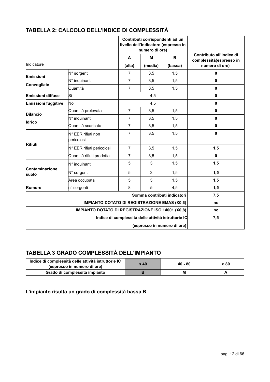|                                                     |                                  | Contributi corrispondenti ad un<br>livello dell'indicatore (espresso in<br>numero di ore) |         |         |                                                     |
|-----------------------------------------------------|----------------------------------|-------------------------------------------------------------------------------------------|---------|---------|-----------------------------------------------------|
|                                                     |                                  | $\mathbf{A}$                                                                              | M       | B       | Contributo all'indice di<br>complessità(espresso in |
| Indicatore                                          |                                  | (alta)                                                                                    | (media) | (bassa) | numero di ore)                                      |
| Emissioni                                           | N° sorgenti                      | $\overline{7}$                                                                            | 3,5     | 1,5     | 0                                                   |
|                                                     | N° inquinanti                    | $\overline{7}$                                                                            | 3,5     | 1,5     | $\mathbf{0}$                                        |
| Convogliate                                         | Quantità                         | $\overline{7}$                                                                            | 3,5     | 1,5     | 0                                                   |
| Emissioni diffuse                                   | Si                               |                                                                                           | 4,5     |         | 0                                                   |
| <b>Emissioni fuggitive</b>                          | No                               |                                                                                           | 4,5     |         | $\mathbf 0$                                         |
|                                                     | Quantità prelevata               | $\overline{7}$                                                                            | 3,5     | 1,5     | 0                                                   |
| <b>Bilancio</b>                                     | N° inquinanti                    | $\overline{7}$                                                                            | 3,5     | 1,5     | $\mathbf{0}$                                        |
| Idrico                                              | Quantità scaricata               | $\overline{7}$                                                                            | 3,5     | 1,5     | $\mathbf{0}$                                        |
|                                                     | N° EER rifiuti non<br>bericolosi | $\overline{7}$                                                                            | 3,5     | 1,5     | $\mathbf{0}$                                        |
| <b>Rifiuti</b>                                      | N° EER rifiuti pericolosi        | $\overline{7}$                                                                            | 3,5     | 1,5     | 1,5                                                 |
|                                                     | Quantità rifiuti prodotta        | $\overline{7}$                                                                            | 3,5     | 1,5     | $\mathbf{0}$                                        |
| Contaminazione                                      | N° inquinanti                    | 5                                                                                         | 3       | 1,5     | 1,5                                                 |
| suolo                                               | N° sorgenti                      | 5                                                                                         | 3       | 1,5     | 1,5                                                 |
|                                                     | Area occupata                    | 5                                                                                         | 3       | 1,5     | 1,5                                                 |
| Rumore                                              | n° sorgenti                      | 8                                                                                         | 5       | 4,5     | 1,5                                                 |
| Somma contributi indicatori                         |                                  |                                                                                           |         |         | 7,5                                                 |
| <b>IMPIANTO DOTATO DI REGISTRAZIONE EMAS (X0,6)</b> |                                  |                                                                                           |         |         | no                                                  |
| IMPIANTO DOTATO DI REGISTRAZIONE ISO 14001 (X0,8)   |                                  |                                                                                           |         | no      |                                                     |
| Indice di complessità delle attività istruttorie IC |                                  |                                                                                           |         | 7,5     |                                                     |
| (espresso in numero di ore)                         |                                  |                                                                                           |         |         |                                                     |

### **TABELLA 2: CALCOLO DELL'INDICE DI COMPLESSITÀ**

## **TABELLA 3 GRADO COMPLESSITÀ DELL'IMPIANTO**

| Indice di complessità delle attività istruttorie IC<br>(espresso in numero di ore) | < 40 | $40 - 80$ | > 80 |
|------------------------------------------------------------------------------------|------|-----------|------|
| Grado di complessità impianto                                                      |      |           |      |

**L'impianto risulta un grado di complessità bassa B**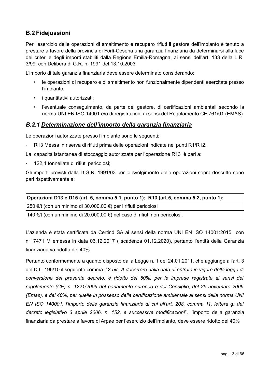## <span id="page-12-1"></span>**B.2 Fidejussioni**

Per l'esercizio delle operazioni di smaltimento e recupero rifiuti il gestore dell'impianto è tenuto a prestare a favore della provincia di Forlì-Cesena una garanzia finanziaria da determinarsi alla luce dei criteri e degli importi stabiliti dalla Regione Emilia-Romagna, ai sensi dell'art. 133 della L.R. 3/99, con Delibera di G.R. n. 1991 del 13.10.2003.

L'importo di tale garanzia finanziaria deve essere determinato considerando:

- le operazioni di recupero e di smaltimento non funzionalmente dipendenti esercitate presso l'impianto;
- i quantitativi autorizzati;
- l'eventuale conseguimento, da parte del gestore, di certificazioni ambientali secondo la norma UNI EN ISO 14001 e/o di registrazioni ai sensi del Regolamento CE 761/01 (EMAS).

#### <span id="page-12-0"></span>*B.2.1 Determinazione dell'importo della garanzia finanziaria*

Le operazioni autorizzate presso l'impianto sono le seguenti:

- R13 Messa in riserva di rifiuti prima delle operazioni indicate nei punti R1/R12.

La capacità istantanea di stoccaggio autorizzata per l'operazione R13 è pari a:

- 122,4 tonnellate di rifiuti pericolosi;

Gli importi previsti dalla D.G.R. 1991/03 per lo svolgimento delle operazioni sopra descritte sono pari rispettivamente a:

| Operazioni D13 e D15 (art. 5, comma 5.1, punto 1); R13 (art.5, comma 5.2, punto 1): |
|-------------------------------------------------------------------------------------|
| $ 250 \in \mathcal{H}$ (con un minimo di 30.000,00 €) per i rifiuti pericolosi      |
| 140 €/t (con un minimo di 20.000,00 €) nel caso di rifiuti non pericolosi.          |

L'azienda è stata certificata da Certind SA ai sensi della norma UNI EN ISO 14001:2015 con n°17471 M emessa in data 06.12.2017 ( scadenza 01.12.2020), pertanto l'entità della Garanzia finanziaria va ridotta del 40%.

Pertanto conformemente a quanto disposto dalla Legge n. 1 del 24.01.2011, che aggiunge all'art. 3 del D.L. 196/10 il seguente comma: "*2-bis. A decorrere dalla data di entrata in vigore della legge di conversione del presente decreto, è ridotto del 50%, per le imprese registrate ai sensi del regolamento (CE) n. 1221/2009 del parlamento europeo e del Consiglio, del 25 novembre 2009 (Emas), e del 40%, per quelle in possesso della certificazione ambientale ai sensi della norma UNI EN ISO 140001, l'importo delle garanzie finanziarie di cui all'art. 208, comma 11, lettera g) del decreto legislativo 3 aprile 2006, n. 152, e successive modificazioni*". l'importo della garanzia finanziaria da prestare a favore di Arpae per l'esercizio dell'impianto, deve essere ridotto del 40%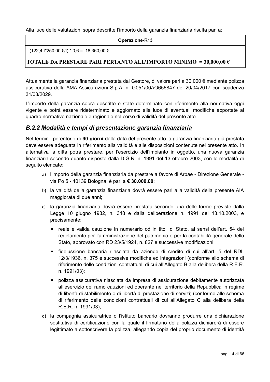Alla luce delle valutazioni sopra descritte l'importo della garanzia finanziaria risulta pari a:

#### **Operazione-R13**

 $(122,4 \t{t}^*250,00 \t{€/t})*0,6 = 18.360,00 \t{€}$ 

#### **TOTALE DA PRESTARE PARI PERTANTO ALL'IMPORTO MINIMO = 30,000,00 €**

Attualmente la garanzia finanziaria prestata dal Gestore, di valore pari a 30.000 € mediante polizza assicurativa della AMA Assicurazioni S.p.A. n. G051/00AO656847 del 20/04/2017 con scadenza 31/03/2029.

L'importo della garanzia sopra descritto è stato determinato con riferimento alla normativa oggi vigente e potrà essere rideterminato e aggiornato alla luce di eventuali modifiche apportate al quadro normativo nazionale e regionale nel corso di validità del presente atto.

#### <span id="page-13-0"></span>*B.2.2 Modalità e tempi di presentazione garanzia finanziaria*

Nel termine perentorio di **90 giorni** dalla data del presente atto la garanzia finanziaria già prestata deve essere adeguata in riferimento alla validità e alle disposizioni contenute nel presente atto. In alternativa la ditta potrà prestare, per l'esercizio dell'impianto in oggetto, una nuova garanzia finanziaria secondo quanto disposto dalla D.G.R. n. 1991 del 13 ottobre 2003, con le modalità di seguito elencate:

- a) l'importo della garanzia finanziaria da prestare a favore di Arpae Direzione Generale via Po 5 - 40139 Bologna, è pari a **€ 30.000,00**;
- b) la validità della garanzia finanziaria dovrà essere pari alla validità della presente AIA maggiorata di due anni;
- c) la garanzia finanziaria dovrà essere prestata secondo una delle forme previste dalla Legge 10 giugno 1982, n. 348 e dalla deliberazione n. 1991 del 13.10.2003, e precisamente:
	- reale e valida cauzione in numerario od in titoli di Stato, ai sensi dell'art. 54 del regolamento per l'amministrazione del patrimonio e per la contabilità generale dello Stato, approvato con RD 23/5/1924, n. 827 e successive modificazioni;
	- fidejussione bancaria rilasciata da aziende di credito di cui all'art. 5 del RDL 12/3/1936, n. 375 e successive modifiche ed integrazioni (conforme allo schema di riferimento delle condizioni contrattuali di cui all'Allegato B alla delibera della R.E.R. n. 1991/03);
	- polizza assicurativa rilasciata da impresa di assicurazione debitamente autorizzata all'esercizio del ramo cauzioni ed operante nel territorio della Repubblica in regime di libertà di stabilimento o di libertà di prestazione di servizi; (conforme allo schema di riferimento delle condizioni contrattuali di cui all'Allegato C alla delibera della R.E.R. n. 1991/03);
- d) la compagnia assicuratrice o l'istituto bancario dovranno produrre una dichiarazione sostitutiva di certificazione con la quale il firmatario della polizza dichiarerà di essere legittimato a sottoscrivere la polizza, allegando copia del proprio documento di identità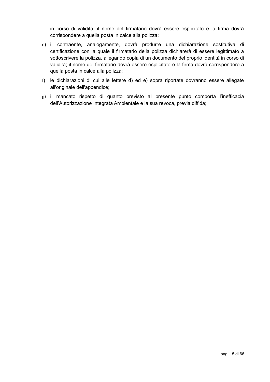in corso di validità; il nome del firmatario dovrà essere esplicitato e la firma dovrà corrispondere a quella posta in calce alla polizza;

- e) il contraente, analogamente, dovrà produrre una dichiarazione sostitutiva di certificazione con la quale il firmatario della polizza dichiarerà di essere legittimato a sottoscrivere la polizza, allegando copia di un documento del proprio identità in corso di validità; il nome del firmatario dovrà essere esplicitato e la firma dovrà corrispondere a quella posta in calce alla polizza;
- f) le dichiarazioni di cui alle lettere d) ed e) sopra riportate dovranno essere allegate all'originale dell'appendice;
- g) il mancato rispetto di quanto previsto al presente punto comporta l'inefficacia dell'Autorizzazione Integrata Ambientale e la sua revoca, previa diffida;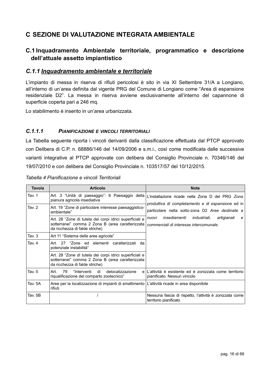## <span id="page-15-3"></span>**C SEZIONE DI VALUTAZIONE INTEGRATA AMBIENTALE**

### <span id="page-15-2"></span>**C.1 Inquadramento Ambientale territoriale, programmatico e descrizione dell'attuale assetto impiantistico**

#### <span id="page-15-1"></span>*C.1.1 Inquadramento ambientale e territoriale*

L'impianto di messa in riserva di rifiuti pericolosi è sito in via XI Settembre 31/A a Longiano, all'interno di un'area definita dal vigente PRG del Comune di Longiano come "Area di espansione residenziale D2". La messa in riserva avviene esclusivamente all'interno del capannone di superficie coperta pari a 246 mq.

Lo stabilimento è inserito in un'area urbanizzata.

#### <span id="page-15-0"></span>*C.1.1.1 PIANIFICAZIONE E VINCOLI TERRITORIALI*

La Tabella seguente riporta i vincoli derivanti dalla classificazione effettuata dal PTCP approvato con Delibera di C.P. n. 68886/146 del 14/09/2006 e s.m.i., così come modificata dalle successive varianti integrative al PTCP approvate con delibera del Consiglio Provinciale n. 70346/146 del 19/07/2010 e con delibera del Consiglio Provinciale n. 103517/57 del 10/12/2015.

| <b>Tavola</b> | <b>Articolo</b>                                                                                                                               | <b>Note</b>                                                                                           |
|---------------|-----------------------------------------------------------------------------------------------------------------------------------------------|-------------------------------------------------------------------------------------------------------|
| Tav. 1        | Art. 3 "Unità di paesaggio": 6 Paesaggio della<br>pianura agricola insediativa                                                                | L'installazione ricade nella Zona D del PRG Zona<br>produttiva di completamento e di espansione ed in |
| Tav. $2$      | Art. 19 "Zone di particolare interesse paesaggistico-<br>ambientale"                                                                          | particolare nella sotto-zona D2 Aree destinate a                                                      |
|               | Art. 28 "Zone di tutela dei corpi idrici superficiali e<br>sotterranei" comma 2 Zona B (area caratterizzata<br>da ricchezza di falde idriche) | insediamenti<br>industriali,<br>artigianali<br>nuovi<br>e<br>commerciali di interesse intercomunale.  |
| Tav. 3        | Art 11 "Sistema delle aree agricole"                                                                                                          |                                                                                                       |
| Tav. 4        | 27 "Zone ed elementi caratterizzati da<br>Art.<br>potenziale instabilità"                                                                     |                                                                                                       |
|               | Art. 28 "Zone di tutela dei corpi idrici superficiali e<br>sotterranei" comma 2 Zona B (area caratterizzata<br>da ricchezza di falde idriche) |                                                                                                       |
| Tav. 5        | 79<br>"Interventi<br>Art.<br>di<br>delocalizzazione<br>e l<br>riqualificazione del comparto zootecnico"                                       | L'attività è esistente ed è zonizzata come territorio<br>pianificato. Nessun vincolo                  |
| Tav. 5A       | Aree per la localizzazione di impianti di smaltimento   L'attività ricade in area disponibile<br>rifiuti                                      |                                                                                                       |
| Tav. 5B       |                                                                                                                                               | Nessuna fascia di rispetto, l'attività è zonizzata come<br>territorio pianificato                     |

*Tabella 4 Pianificazione e vincoli Territoriali*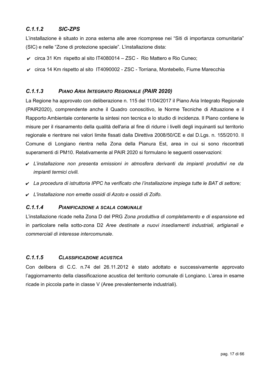### <span id="page-16-3"></span>*C.1.1.2 SIC-ZPS*

L'installazione è situato in zona esterna alle aree ricomprese nei "Siti di importanza comunitaria" (SIC) e nelle "Zone di protezione speciale". L'installazione dista:

- $\checkmark$  circa 31 Km rispetto al sito IT4080014 ZSC Rio Mattero e Rio Cuneo;
- $\vee$  circa 14 Km rispetto al sito IT4090002 ZSC Torriana, Montebello, Fiume Marecchia

#### <span id="page-16-2"></span>*C.1.1.3 PIANO ARIA INTEGRATO REGIONALE (PAIR 2020)*

La Regione ha approvato con deliberazione n. 115 del 11/04/2017 il Piano Aria Integrato Regionale (PAIR2020), comprendente anche il Quadro conoscitivo, le Norme Tecniche di Attuazione e il Rapporto Ambientale contenente la sintesi non tecnica e lo studio di incidenza. Il Piano contiene le misure per il risanamento della qualità dell'aria al fine di ridurre i livelli degli inquinanti sul territorio regionale e rientrare nei valori limite fissati dalla Direttiva 2008/50/CE e dal D.Lgs. n. 155/2010. Il Comune di Longiano rientra nella Zona della Pianura Est, area in cui si sono riscontrati superamenti di PM10. Relativamente al PAIR 2020 si formulano le seguenti osservazioni:

- ✔ *L'installazione non presenta emissioni in atmosfera derivanti da impianti produttivi ne da impianti termici civili.*
- ✔ *La procedura di istruttoria IPPC ha verificato che l'installazione impiega tutte le BAT di settore;*
- ✔ *L'installazione non emette ossidi di Azoto e ossidi di Zolfo.*

#### <span id="page-16-1"></span>*C.1.1.4 PIANIFICAZIONE A SCALA COMUNALE*

L'installazione ricade nella Zona D del PRG *Zona produttiva di completamento e di espansione* ed in particolare nella sotto-zona D2 *Aree destinate a nuovi insediamenti industriali, artigianali e commerciali di interesse intercomunale*.

#### <span id="page-16-0"></span>*C.1.1.5 CLASSIFICAZIONE ACUSTICA*

Con delibera di C.C. n.74 del 26.11.2012 è stato adottato e successivamente approvato l'aggiornamento della classificazione acustica del territorio comunale di Longiano. L'area in esame ricade in piccola parte in classe V (Aree prevalentemente industriali).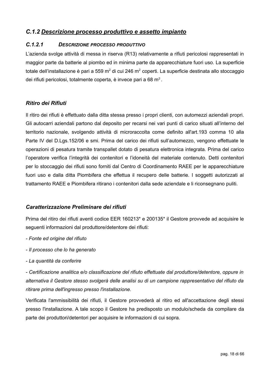### <span id="page-17-1"></span>*C.1.2 Descrizione processo produttivo e assetto impianto*

#### <span id="page-17-0"></span>*C.1.2.1 DESCRIZIONE PROCESSO PRODUTTIVO*

L'azienda svolge attività di messa in riserva (R13) relativamente a rifiuti pericolosi rappresentati in maggior parte da batterie al piombo ed in minima parte da apparecchiature fuori uso. La superficie totale dell'installazione è pari a 559 m<sup>2</sup> di cui 246 m<sup>2</sup> coperti. La superficie destinata allo stoccaggio dei rifiuti pericolosi, totalmente coperta, è invece pari a 68 m<sup>2</sup>.

#### *Ritiro dei Rifiuti*

Il ritiro dei rifiuti è effettuato dalla ditta stessa presso i propri clienti, con automezzi aziendali propri. Gli autocarri aziendali partono dal deposito per recarsi nei vari punti di carico situati all'interno del territorio nazionale, svolgendo attività di microraccolta come definito all'art.193 comma 10 alla Parte IV del D.Lgs.152/06 e smi. Prima del carico dei rifiuti sull'automezzo, vengono effettuate le operazioni di pesatura tramite transpallet dotato di pesatura elettronica integrata. Prima del carico l'operatore verifica l'integrità dei contenitori e l'idoneità del materiale contenuto. Detti contenitori per lo stoccaggio dei rifiuti sono forniti dal Centro di Coordinamento RAEE per le apparecchiature fuori uso e dalla ditta Piombifera che effettua il recupero delle batterie. I soggetti autorizzati al trattamento RAEE e Piombifera ritirano i contenitori dalla sede aziendale e li riconsegnano puliti.

#### *Caratterizzazione Preliminare dei rifiuti*

Prima del ritiro dei rifiuti aventi codice EER 160213\* e 200135\* il Gestore provvede ad acquisire le seguenti informazioni dal produttore/detentore dei rifiuti:

- *Fonte ed origine del rifiuto*
- *Il processo che lo ha generato*
- *La quantità da conferire*

*- Certificazione analitica e/o classificazione del rifiuto effettuate dal produttore/detentore, oppure in alternativa il Gestore stesso svolgerà delle analisi su di un campione rappresentativo del rifiuto da ritirare prima dell'ingresso presso l'installazione.*

Verificata l'ammissibilità dei rifiuti, il Gestore provvederà al ritiro ed all'accettazione degli stessi presso l'installazione. A tale scopo il Gestore ha predisposto un modulo/scheda da compilare da parte dei produttori/detentori per acquisire le informazioni di cui sopra.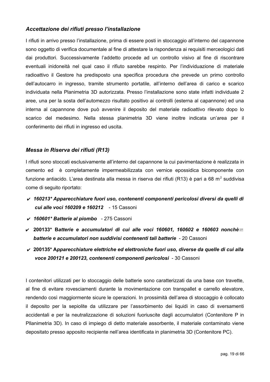#### *Accettazione dei rifiuti presso l'installazione*

I rifiuti in arrivo presso l'installazione, prima di essere posti in stoccaggio all'interno del capannone sono oggetto di verifica documentale al fine di attestare la rispondenza ai requisiti merceologici dati dai produttori. Successivamente l'addetto procede ad un controllo visivo al fine di riscontrare eventuali inidoneità nel qual caso il rifiuto sarebbe respinto. Per l'individuazione di materiale radioattivo il Gestore ha predisposto una specifica procedura che prevede un primo controllo dell'autocarro in ingresso, tramite strumento portatile, all'interno dell'area di carico e scarico individuata nella Planimetria 3D autorizzata. Presso l'installazione sono state infatti individuate 2 aree, una per la sosta dell'automezzo risultato positivo ai controlli (esterna al capannone) ed una interna al capannone dove può avvenire il deposito del materiale radioattivo rilevato dopo lo scarico del medesimo. Nella stessa planimetria 3D viene inoltre indicata un'area per il conferimento dei rifiuti in ingresso ed uscita.

#### *Messa in Riserva dei rifiuti (R13)*

I rifiuti sono stoccati esclusivamente all'interno del capannone la cui pavimentazione è realizzata in cemento ed è completamente impermeabilizzata con vernice epossidica bicomponente con funzione antiacido. L'area destinata alla messa in riserva dei rifiuti (R13) è pari a 68 m<sup>2</sup> suddivisa come di seguito riportato:

- ✔ *160213\* Apparecchiature fuori uso, contenenti componenti pericolosi diversi da quelli di cui alle voci 160209 e 160212* - 15 Cassoni
- ✔ *160601\* Batterie al piombo* 275 Cassoni
- ✔ **200133\* B***atterie e accumulatori di cui alle voci 160601, 160602 e 160603 nonchè batterie e accumulatori non suddivisi contenenti tali batterie* - 20 Cassoni
- ✔ **200135\* A***pparecchiature elettriche ed elettroniche fuori uso, diverse da quelle di cui alla voce 200121 e 200123, contenenti componenti pericolosi* - 30 Cassoni

I contenitori utilizzati per lo stoccaggio delle batterie sono caratterizzati da una base con travette, al fine di evitare rovesciamenti durante la movimentazione con transpallet e carrello elevatore, rendendo così maggiormente sicure le operazioni. In prossimità dell'area di stoccaggio è collocato il deposito per la sepiolite da utilizzare per l'assorbimento dei liquidi in caso di sversamenti accidentali e per la neutralizzazione di soluzioni fuoriuscite dagli accumulatori (Contenitore P in Pllanimetria 3D). In caso di impiego di detto materiale assorbente, il materiale contaminato viene depositato presso apposito recipiente nell'area identificata in planimetria 3D (Contenitore PC).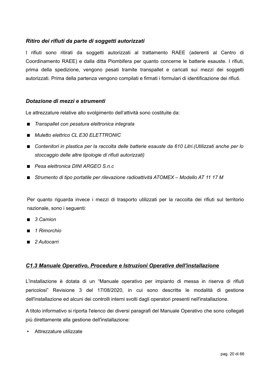#### *Ritiro dei rifiuti da parte di soggetti autorizzati*

I rifiuti sono ritirati da soggetti autorizzati al trattamento RAEE (aderenti al Centro di Coordinamento RAEE) e dalla ditta Piombifera per quanto concerne le batterie esauste. I rifiuti, prima della spedizione, vengono pesati tramite transpallet e caricati sui mezzi dei soggetti autorizzati. Prima della partenza vengono compilati e firmati i formulari di identificazione dei rifiuti.

#### *Dotazione di mezzi e strumenti*

Le attrezzature relative allo svolgimento dell'attività sono costituite da:

- *Transpallet con pesatura elettronica integrata*
- *Muletto elettrico CL E30 ELETTRONIC*
- Contenitori in plastica per la raccolta delle batterie esauste da 610 Litri.(Utilizzati anche per lo *stoccaggio delle altre tipologie di rifiuti autorizzati)*
- *Pesa elettronica DINI ARGEO S.n.c*
- *Strumento di tipo portatile per rilevazione radioattività ATOMEX Modello AT 11 17 M*

Per quanto riguarda invece i mezzi di trasporto utilizzati per la raccolta dei rifiuti sul territorio nazionale, sono i seguenti:

- *3 Camion*
- *1 Rimorchio*
- *2 Autocarri*

#### <span id="page-19-0"></span> *C1.3 Manuale Operativo, Procedure e Istruzioni Operative dell'installazione*

L'installazione è dotata di un "Manuale operativo per impianto di messa in riserva di rifiuti pericolosi" Revisione 3 del 17/08/2020, in cui sono descritte le modalità di gestione dell'installazione ed alcuni dei controlli interni svolti dagli operatori presenti nell'installazione.

A titolo informativo si riporta l'elenco dei diversi paragrafi del Manuale Operativo che sono collegati più direttamente alla gestione dell'installazione:

• Attrezzature utilizzate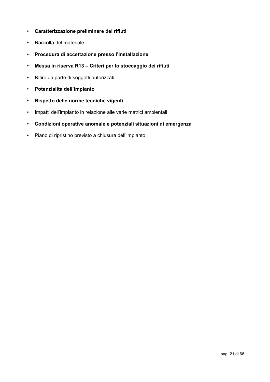- **Caratterizzazione preliminare dei rifiuti**
- Raccolta del materiale
- **Procedura di accettazione presso l'installazione**
- **Messa in riserva R13 Criteri per lo stoccaggio dei rifiuti**
- Ritiro da parte di soggetti autorizzati
- **Potenzialità dell'impianto**
- **Rispetto delle norme tecniche vigenti**
- Impatti dell'impianto in relazione alle varie matrici ambientali
- **Condizioni operative anomale e potenziali situazioni di emergenza**
- Piano di ripristino previsto a chiusura dell'impianto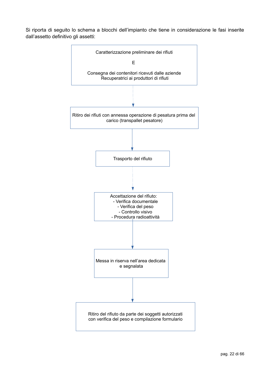Si riporta di seguito lo schema a blocchi dell'impianto che tiene in considerazione le fasi inserite dall'assetto definitivo gli assetti:

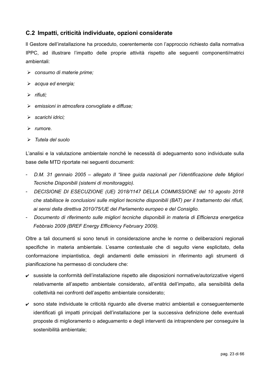### <span id="page-22-0"></span>**C.2 Impatti, criticità individuate, opzioni considerate**

ll Gestore dell'installazione ha proceduto, coerentemente con l'approccio richiesto dalla normativa IPPC, ad illustrare l'impatto delle proprie attività rispetto alle seguenti componenti/matrici ambientali:

- ➢ *consumo di materie prime;*
- ➢ *acqua ed energia;*
- ➢ *rifiuti;*
- ➢ *emissioni in atmosfera convogliate e diffuse;*
- ➢ *scarichi idrici;*
- ➢ *rumore.*
- ➢ *Tutela del suolo*

L'analisi e la valutazione ambientale nonché le necessità di adeguamento sono individuate sulla base delle MTD riportate nei seguenti documenti:

- *D.M. 31 gennaio 2005 allegato II "linee guida nazionali per l'identificazione delle Migliori Tecniche Disponibili (sistemi di monitoraggio).*
- *DECISIONE DI ESECUZIONE (UE) 2018/1147 DELLA COMMISSIONE del 10 agosto 2018 che stabilisce le conclusioni sulle migliori tecniche disponibili (BAT) per il trattamento dei rifiuti, ai sensi della direttiva 2010/75/UE del Parlamento europeo e del Consiglio.*
- *Documento di riferimento sulle migliori tecniche disponibili in materia di Efficienza energetica Febbraio 2009 (BREF Energy Efficiency February 2009).*

Oltre a tali documenti si sono tenuti in considerazione anche le norme o deliberazioni regionali specifiche in materia ambientale. L'esame contestuale che di seguito viene esplicitato, della conformazione impiantistica, degli andamenti delle emissioni in riferimento agli strumenti di pianificazione ha permesso di concludere che:

- ✔ sussiste la conformità dell'installazione rispetto alle disposizioni normative/autorizzative vigenti relativamente all'aspetto ambientale considerato, all'entità dell'impatto, alla sensibilità della collettività nei confronti dell'aspetto ambientale considerato;
- $\triangleright$  sono state individuate le criticità riguardo alle diverse matrici ambientali e consequentemente identificati gli impatti principali dell'installazione per la successiva definizione delle eventuali proposte di miglioramento o adeguamento e degli interventi da intraprendere per conseguire la sostenibilità ambientale;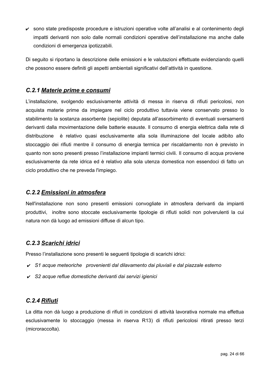✔ sono state predisposte procedure e istruzioni operative volte all'analisi e al contenimento degli impatti derivanti non solo dalle normali condizioni operative dell'installazione ma anche dalle condizioni di emergenza ipotizzabili.

Di seguito si riportano la descrizione delle emissioni e le valutazioni effettuate evidenziando quelli che possono essere definiti gli aspetti ambientali significativi dell'attività in questione.

### <span id="page-23-3"></span>*C.2.1 Materie prime e consumi*

L'installazione, svolgendo esclusivamente attività di messa in riserva di rifiuti pericolosi, non acquista materie prime da impiegare nel ciclo produttivo tuttavia viene conservato presso lo stabilimento la sostanza assorbente (sepiolite) deputata all'assorbimento di eventuali sversamenti derivanti dalla movimentazione delle batterie esauste. ll consumo di energia elettrica dalla rete di distribuzione è relativo quasi esclusivamente alla sola illuminazione del locale adibito allo stoccaggio dei rifiuti mentre il consumo di energia termica per riscaldamento non è previsto in quanto non sono presenti presso l'installazione impianti termici civili. Il consumo di acqua proviene esclusivamente da rete idrica ed è relativo alla sola utenza domestica non essendoci di fatto un ciclo produttivo che ne preveda l'impiego.

### <span id="page-23-2"></span>*C.2.2 Emissioni in atmosfera*

Nell'installazione non sono presenti emissioni convogliate in atmosfera derivanti da impianti produttivi, inoltre sono stoccate esclusivamente tipologie di rifiuti solidi non polverulenti la cui natura non dà luogo ad emissioni diffuse di alcun tipo.

### <span id="page-23-1"></span>*C.2.3 Scarichi idrici*

Presso l'installazione sono presenti le seguenti tipologie di scarichi idrici:

- ✔ *S1 acque meteoriche provenienti dal dilavamento dai pluviali e dal piazzale esterno*
- ✔ *S2 acque reflue domestiche derivanti dai servizi igienici*

### <span id="page-23-0"></span>*C.2.4 Rifiuti*

La ditta non dà luogo a produzione di rifiuti in condizioni di attività lavorativa normale ma effettua esclusivamente lo stoccaggio (messa in riserva R13) di rifiuti pericolosi ritirati presso terzi (microraccolta).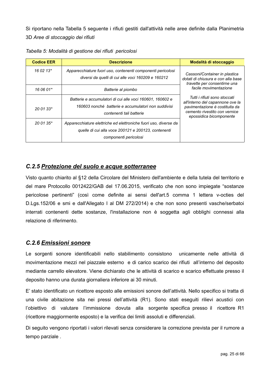Si riportano nella Tabella 5 seguente i rifiuti gestiti dall'attività nelle aree definite dalla Planimetria 3D *Aree di stoccaggio dei rifiuti*

| <b>Codice EER</b> | <b>Descrizione</b>                                                                                                                               | Modalità di stoccaggio                                                                                                                                          |
|-------------------|--------------------------------------------------------------------------------------------------------------------------------------------------|-----------------------------------------------------------------------------------------------------------------------------------------------------------------|
| 16 02 13*         | Apparecchiature fuori uso, contenenti componenti pericolosi<br>diversi da quelli di cui alle voci 160209 e 160212                                | Cassoni/Container in plastica<br>dotati di chiusura e con alla base<br>travette per consentirne una                                                             |
| 16 06 01*         | Batterie al piombo                                                                                                                               | facile movimentazione                                                                                                                                           |
| $20.01.33*$       | Batterie e accumulatori di cui alle voci 160601, 160602 e<br>160603 nonché batterie e accumulatori non suddivisi<br>contenenti tali batterie     | Tutti i rifiuti sono stoccati<br>all'interno del capannone ove la<br>pavimentazione è costituita da<br>cemento rivestito con vernice<br>epossidica bicomponente |
| $20.01.35*$       | Apparecchiature elettriche ed elettroniche fuori uso, diverse da<br>quelle di cui alla voce 200121 e 200123, contenenti<br>componenti pericolosi |                                                                                                                                                                 |

#### <span id="page-24-1"></span>*C.2.5 Protezione del suolo e acque sotterranee*

Visto quanto chiarito al §12 della Circolare del Ministero dell'ambiente e della tutela del territorio e del mare Protocollo 0012422/GAB del 17.06.2015, verificato che non sono impiegate "sostanze pericolose pertinenti" (così come definite ai sensi dell'art.5 comma 1 lettera v-octies del D.Lgs.152/06 e smi e dall'Allegato I al DM 272/2014) e che non sono presenti vasche/serbatoi interrati contenenti dette sostanze, l'installazione non è soggetta agli obblighi connessi alla relazione di riferimento.

#### <span id="page-24-0"></span>*C.2.6 Emissioni sonore*

Le sorgenti sonore identificabili nello stabilimento consistono unicamente nelle attività di movimentazione mezzi nel piazzale esterno e di carico scarico dei rifiuti all'interno del deposito mediante carrello elevatore. Viene dichiarato che le attività di scarico e scarico effettuate presso il deposito hanno una durata giornaliera inferiore ai 30 minuti.

E' stato identificato un ricettore esposto alle emissioni sonore dell'attività. Nello specifico si tratta di una civile abitazione sita nei pressi dell'attività (R1). Sono stati eseguiti rilievi acustici con l'obiettivo di valutare l'immissione dovuta alla sorgente specifica presso il ricettore R1 (ricettore maggiormente esposto) e la verifica dei limiti assoluti e differenziali.

Di seguito vengono riportati i valori rilevati senza considerare la correzione prevista per il rumore a tempo parziale .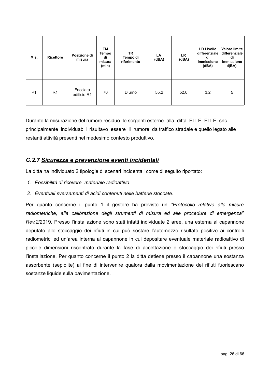| Mis.           | <b>Ricettore</b> | Posizione di<br>misura  | TM<br>Tempo<br>di<br>misura<br>(min) | TR<br>Tempo di<br>riferimento | LA<br>(dBA) | <b>LR</b><br>(dBA) | <b>LD Livello</b><br>differenziale<br>di<br>immissione<br>(dBA) | <b>Valore limite</b><br>differenziale<br>di<br>immissione<br>d(BA) |
|----------------|------------------|-------------------------|--------------------------------------|-------------------------------|-------------|--------------------|-----------------------------------------------------------------|--------------------------------------------------------------------|
| P <sub>1</sub> | R <sub>1</sub>   | Facciata<br>edificio R1 | 70                                   | Diurno                        | 55,2        | 52,0               | 3,2                                                             | 5                                                                  |

Durante la misurazione del rumore residuo le sorgenti esterne alla ditta ELLE ELLE snc principalmente individuabili risultavo essere il rumore da traffico stradale e quello legato alle restanti attività presenti nel medesimo contesto produttivo.

### <span id="page-25-0"></span>*C.2.7 Sicurezza e prevenzione eventi incidentali*

La ditta ha individuato 2 tipologie di scenari incidentali come di seguito riportato:

- *1. Possibilità di ricevere materiale radioattivo.*
- *2. Eventuali sversamenti di acidi contenuti nelle batterie stoccate.*

Per quanto concerne il punto 1 il gestore ha previsto un *"Protocollo relativo alle misure radiometriche, alla calibrazione degli strumenti di misura ed alle procedure di emergenza" Rev.2*/2019. Presso l'installazione sono stati infatti individuate 2 aree, una esterna al capannone deputato allo stoccaggio dei rifiuti in cui può sostare l'automezzo risultato positivo ai controlli radiometrici ed un'area interna al capannone in cui depositare eventuale materiale radioattivo di piccole dimensioni riscontrato durante la fase di accettazione e stoccaggio dei rifiuti presso l'installazione. Per quanto concerne il punto 2 la ditta detiene presso il capannone una sostanza assorbente (sepiolite) al fine di intervenire qualora dalla movimentazione dei rifiuti fuoriescano sostanze liquide sulla pavimentazione.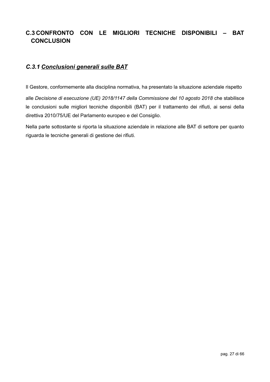## <span id="page-26-1"></span>**C.3 CONFRONTO CON LE MIGLIORI TECNICHE DISPONIBILI – BAT CONCLUSION**

### <span id="page-26-0"></span>*C.3.1 Conclusioni generali sulle BAT*

Il Gestore, conformemente alla disciplina normativa, ha presentato la situazione aziendale rispetto

alle *Decisione di esecuzione (UE) 2018/1147 della Commissione del 10 agosto 2018* che stabilisce le conclusioni sulle migliori tecniche disponibili (BAT) per il trattamento dei rifiuti, ai sensi della direttiva 2010/75/UE del Parlamento europeo e del Consiglio.

Nella parte sottostante si riporta la situazione aziendale in relazione alle BAT di settore per quanto riguarda le tecniche generali di gestione dei rifiuti.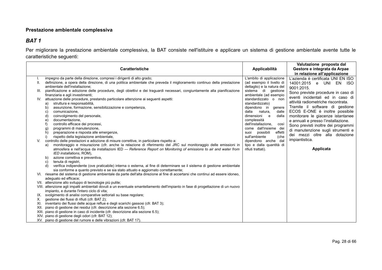#### **Prestazione ambientale complessiva**

### *BAT 1*

Per migliorare la prestazione ambientale complessiva, la BAT consiste nell'istituire e applicare un sistema di gestione ambientale avente tutte le caratteristiche seguenti:

<span id="page-27-0"></span>

|      | <b>Caratteristiche</b>                                                                                                                                                                      | Applicabilità                                     | Valutazione proposta dal<br>Gestore e integrata da Arpae |
|------|---------------------------------------------------------------------------------------------------------------------------------------------------------------------------------------------|---------------------------------------------------|----------------------------------------------------------|
|      |                                                                                                                                                                                             |                                                   | in relazione all'applicazione                            |
|      | impegno da parte della direzione, compresi i dirigenti di alto grado;                                                                                                                       | L'ambito di applicazione                          | L'azienda è certificata UNI EN ISO                       |
|      | definizione, a opera della direzione, di una politica ambientale che preveda il miglioramento continuo della prestazione                                                                    | (ad esempio il livello di                         | 14001:2015 e UNI EN<br><b>ISO</b>                        |
|      | ambientale dell'installazione:                                                                                                                                                              | dettaglio) e la natura del<br>sistema di gestione | 9001:2015.                                               |
| III. | pianificazione e adozione delle procedure, degli obiettivi e dei traguardi necessari, congiuntamente alla pianificazione<br>finanziaria e agli investimenti;                                | ambientale (ad esempio                            | Sono previste procedure in caso di                       |
|      | IV. attuazione delle procedure, prestando particolare attenzione ai seguenti aspetti:                                                                                                       | standardizzato o non                              | eventi incidentali ed in caso di                         |
|      | struttura e responsabilità,<br>a)                                                                                                                                                           | standardizzato)                                   | attività radiometriche riscontrata.                      |
|      | assunzione, formazione, sensibilizzazione e competenza,<br>b)                                                                                                                               | dipendono in<br>genere                            | Tramite il software di gestione                          |
|      | comunicazione,<br>C)                                                                                                                                                                        | dalla<br>natura,<br>dalle                         | ECOS E-ONE è inoltre possibile                           |
|      | coinvolgimento del personale,<br>d)                                                                                                                                                         | dimensioni e<br>dalla                             | monitorare le giacenze istantanee                        |
|      | documentazione.<br>$\mathbf{e}$<br>f)<br>controllo efficace dei processi,                                                                                                                   | complessità<br>dell'installazione,<br>così        | e annuali e presso l'installazione.                      |
|      | programmi di manutenzione,<br>g)                                                                                                                                                            | come dall'insieme dei                             | Sono previsti inoltre dei programmi                      |
|      | preparazione e risposta alle emergenze,<br>h)                                                                                                                                               | effetti<br>possibili<br>suoi                      | di manutenzione sugli strumenti e                        |
|      | i)<br>rispetto della legislazione ambientale,                                                                                                                                               | sull'ambiente<br>(che                             | dei mezzi oltre alla dotazione                           |
| V.   | controllo delle prestazioni e adozione di misure correttive, in particolare rispetto a:                                                                                                     | dipendono anche dal                               | impiantistica.                                           |
|      | monitoraggio e misurazione (cfr. anche la relazione di riferimento del JRC sul monitoraggio delle emissioni in<br>a)                                                                        | tipo e dalla quantità di                          |                                                          |
|      | atmosfera e nell'acqua da installazioni IED — Reference Report on Monitoring of emissions to air and water from<br>IED installations, ROM),                                                 | rifiuti trattati).                                | Applicata                                                |
|      | azione correttiva e preventiva,<br>b)                                                                                                                                                       |                                                   |                                                          |
|      | tenuta di registri,<br>C)                                                                                                                                                                   |                                                   |                                                          |
|      | d)<br>verifica indipendente (ove praticabile) interna o esterna, al fine di determinare se il sistema di gestione ambientale                                                                |                                                   |                                                          |
|      | sia conforme a quanto previsto e se sia stato attuato e aggiornato correttamente;                                                                                                           |                                                   |                                                          |
|      | riesame del sistema di gestione ambientale da parte dell'alta direzione al fine di accertarsi che continui ad essere idoneo,                                                                |                                                   |                                                          |
|      | adeguato ed efficace;                                                                                                                                                                       |                                                   |                                                          |
|      | VII. attenzione allo sviluppo di tecnologie più pulite;<br>VIII. attenzione agli impatti ambientali dovuti a un eventuale smantellamento dell'impianto in fase di progettazione di un nuovo |                                                   |                                                          |
|      | impianto, e durante l'intero ciclo di vita;                                                                                                                                                 |                                                   |                                                          |
|      | IX. svolgimento di analisi comparative settoriali su base regolare;                                                                                                                         |                                                   |                                                          |
| Х.   | gestione dei flussi di rifiuti (cfr. BAT 2);                                                                                                                                                |                                                   |                                                          |
| XI.  | inventario dei flussi delle acque reflue e degli scarichi gassosi (cfr. BAT 3);                                                                                                             |                                                   |                                                          |
| XII. | piano di gestione dei residui (cfr. descrizione alla sezione 6.5);                                                                                                                          |                                                   |                                                          |
|      | XIII. piano di gestione in caso di incidente (cfr. descrizione alla sezione 6.5);                                                                                                           |                                                   |                                                          |
|      | XIV. piano di gestione degli odori (cfr. BAT 12);                                                                                                                                           |                                                   |                                                          |
|      | XV. piano di gestione del rumore e delle vibrazioni (cfr. BAT 17).                                                                                                                          |                                                   |                                                          |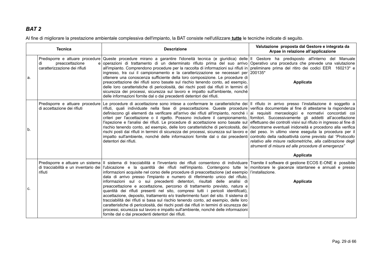Al fine di migliorare la prestazione ambientale complessiva dell'impianto, la BAT consiste nell'utilizzare **tutte** le tecniche indicate di seguito.

<span id="page-28-0"></span>

| <b>Tecnica</b> |                                                                | <b>Descrizione</b>                                                                                                                                                                                                                                                                                                                                                                                                                                                                                                                                                                                                                                                                                                                                                                                                                                                                                                                                                                                                                                                                                                                                                                                       | Valutazione proposta dal Gestore e integrata da<br>Arpae in relazione all'applicazione                                                                                                                                                                                                                      |
|----------------|----------------------------------------------------------------|----------------------------------------------------------------------------------------------------------------------------------------------------------------------------------------------------------------------------------------------------------------------------------------------------------------------------------------------------------------------------------------------------------------------------------------------------------------------------------------------------------------------------------------------------------------------------------------------------------------------------------------------------------------------------------------------------------------------------------------------------------------------------------------------------------------------------------------------------------------------------------------------------------------------------------------------------------------------------------------------------------------------------------------------------------------------------------------------------------------------------------------------------------------------------------------------------------|-------------------------------------------------------------------------------------------------------------------------------------------------------------------------------------------------------------------------------------------------------------------------------------------------------------|
| la.            | di<br>preaccettazione<br>caratterizzazione dei rifiuti         | Predisporre e attuare procedure Queste procedure mirano a garantire l'idoneità tecnica (e giuridica) delle II Gestore ha predisposto all'interno del Manuale<br>e operazioni di trattamento di un determinato rifiuto prima del suo arrivo Operativo una procedura che prevede una valutazione<br>all'impianto. Comprendono procedure per la raccolta di informazioni sui rifiuti in preliminare prima del ritiro dei codici EER 160213 <sup>*</sup> e<br>ingresso, tra cui il campionamento e la caratterizzazione se necessari per 200135*<br>ottenere una conoscenza sufficiente della loro composizione. Le procedure di<br>preaccettazione dei rifiuti sono basate sul rischio tenendo conto, ad esempio,<br>delle loro caratteristiche di pericolosità, dei rischi posti dai rifiuti in termini di<br>sicurezza dei processi, sicurezza sul lavoro e impatto sull'ambiente, nonché<br>delle informazioni fornite dal o dai precedenti detentori dei rifiuti.                                                                                                                                                                                                                                       | Applicata                                                                                                                                                                                                                                                                                                   |
| $b$ .          | Predisporre e attuare procedure<br>di accettazione dei rifiuti | Le procedure di accettazione sono intese a confermare le caratteristiche dei III rifiuto in arrivo presso l'installazione è soggetto a<br>rifiuti, quali individuate nella fase di preaccettazione. Queste procedure verifica documentale al fine di attestarne la rispondenza<br>definiscono gli elementi da verificare all'arrivo dei rifiuti all'impianto, nonché i<br>criteri per l'accettazione o il rigetto. Possono includere il campionamento,<br>l'ispezione e l'analisi dei rifiuti. Le procedure di accettazione sono basate sul<br>rischio tenendo conto, ad esempio, delle loro caratteristiche di pericolosità, dei riscontrarne eventuali inidoneità e procedono alla verifica<br>rischi posti dai rifiuti in termini di sicurezza dei processi, sicurezza sul lavoro e del peso. In ultimo viene eseguita la procedura per il<br>impatto sull'ambiente, nonché delle informazioni fornite dal o dai precedenti controllo della radioattività come previsto dal "Protocollo"<br>detentori dei rifiuti.                                                                                                                                                                                    | ai requisiti merceologici e normativi concordati coi<br>fornitori. Successivamente gli addetti all'accettazione<br>effettuano dei controlli visivi sul rifiuto in ingresso al fine di<br>relativo alle misure radiometriche, alla calibrazione degli<br>strumenti di misura ed alle procedure di emergenza" |
| C.             | rifiuti                                                        | Predisporre e attuare un sistema   Il sistema di tracciabilità e l'inventario dei rifiuti consentono di individuare Tramite il software di gestione ECOS E-ONE è possibile<br>di tracciabilità e un inventario dei l'ubicazione e la quantità dei rifiuti nell'impianto. Contengono tutte le monitorare le giacenze istantanee e annuali e presso<br>informazioni acquisite nel corso delle procedure di preaccettazione (ad esempio l'installazione.<br>data di arrivo presso l'impianto e numero di riferimento unico del rifiuto,<br>informazioni sul o sui precedenti detentori, risultati delle analisi di<br>preaccettazione e accettazione, percorso di trattamento previsto, natura e<br>quantità dei rifiuti presenti nel sito, compresi tutti i pericoli identificati),<br>accettazione, deposito, trattamento e/o trasferimento fuori del sito. Il sistema di<br>tracciabilità dei rifiuti si basa sul rischio tenendo conto, ad esempio, delle loro<br>caratteristiche di pericolosità, dei rischi posti dai rifiuti in termini di sicurezza dei<br>processi, sicurezza sul lavoro e impatto sull'ambiente, nonché delle informazioni<br>fornite dal o dai precedenti detentori dei rifiuti. | Applicata<br>Applicata                                                                                                                                                                                                                                                                                      |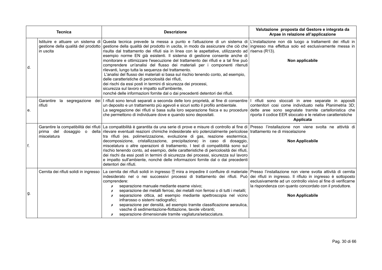| <b>Tecnica</b> |                                                                                       | <b>Descrizione</b>                                                                                                                                                                                                                                                                                                                                                                                                                                                                                                                                                                                                                                                                                                                                                                                                                                                                                                                                                                                                     | Valutazione proposta dal Gestore e integrata da<br>Arpae in relazione all'applicazione                                                                                                                                                                |
|----------------|---------------------------------------------------------------------------------------|------------------------------------------------------------------------------------------------------------------------------------------------------------------------------------------------------------------------------------------------------------------------------------------------------------------------------------------------------------------------------------------------------------------------------------------------------------------------------------------------------------------------------------------------------------------------------------------------------------------------------------------------------------------------------------------------------------------------------------------------------------------------------------------------------------------------------------------------------------------------------------------------------------------------------------------------------------------------------------------------------------------------|-------------------------------------------------------------------------------------------------------------------------------------------------------------------------------------------------------------------------------------------------------|
| $d$ .          | Istituire e attuare un sistema di<br>gestione della qualità del prodotto<br>in uscita | Questa tecnica prevede la messa a punto e l'attuazione di un sistema di L'installazione non dà luogo a trattamenti dei rifiuti in<br>gestione della qualità del prodotto in uscita, in modo da assicurare che ciò che ingresso ma effettua solo ed esclusivamente messa in<br>risulta dal trattamento dei rifiuti sia in linea con le aspettative, utilizzando ad<br>esempio norme EN già esistenti. Il sistema di gestione consente anche di<br>monitorare e ottimizzare l'esecuzione del trattamento dei rifiuti e a tal fine può<br>comprendere un'analisi del flusso dei materiali per i componenti ritenuti<br>rilevanti, lungo tutta la sequenza del trattamento.<br>L'analisi del flusso dei materiali si basa sul rischio tenendo conto, ad esempio,<br>delle caratteristiche di pericolosità dei rifiuti,<br>dei rischi da essi posti in termini di sicurezza dei processi,<br>sicurezza sul lavoro e impatto sull'ambiente,<br>nonché delle informazioni fornite dal o dai precedenti detentori dei rifiuti. | riserva (R13).<br>Non applicabile                                                                                                                                                                                                                     |
| e.             | rifiuti                                                                               | Garantire la segregazione dei l rifiuti sono tenuti separati a seconda delle loro proprietà, al fine di consentire<br>un deposito e un trattamento più agevoli e sicuri sotto il profilo ambientale.<br>La segregazione dei rifiuti si basa sulla loro separazione fisica e su procedure<br>che permettono di individuare dove e quando sono depositati.                                                                                                                                                                                                                                                                                                                                                                                                                                                                                                                                                                                                                                                               | I rifiuti sono stoccati in aree separate in appositi<br>contenitori così come individuato nella Planimetria 3D:<br>dette aree sono segnalate tramite cartellonistica che<br>riporta il codice EER stoccato e le relative caratteristiche<br>Applicata |
| f.             | prima del<br>miscelatura                                                              | Garantire la compatibilità dei rifiuti La compatibilità è garantita da una serie di prove e misure di controllo al fine di Presso l'installazione non viene svolta ne attività di<br>dosaggio o della rilevare eventuali reazioni chimiche indesiderate e/o potenzialmente pericolose trattamento ne di miscelazione<br>tra rifiuti (es. polimerizzazione, evoluzione di gas, reazione esotermica,<br>decomposizione, cristallizzazione, precipitazione) in caso di dosaggio,<br>miscelatura o altre operazioni di trattamento. I test di compatibilità sono sul<br>rischio tenendo conto, ad esempio, delle caratteristiche di pericolosità dei rifiuti,<br>dei rischi da essi posti in termini di sicurezza dei processi, sicurezza sul lavoro<br>e impatto sull'ambiente, nonché delle informazioni fornite dal o dai precedenti<br>detentori dei rifiuti.                                                                                                                                                          | <b>Non Applicabile</b>                                                                                                                                                                                                                                |
| g.             | Cernita dei rifiuti solidi in ingresso                                                | La cernita dei rifiuti solidi in ingresso <sup>(1)</sup> mira a impedire il confluire di materiale Presso l'installazione non viene svolta attività di cernita<br>indesiderato nel o nei successivi processi di trattamento dei rifiuti. Può dei rifiuti in ingresso. Il rifiuto in ingresso è sottoposto<br>comprendere:<br>separazione manuale mediante esame visivo;<br>$\boldsymbol{x}$<br>separazione dei metalli ferrosi, dei metalli non ferrosi o di tutti i metalli;<br>Х<br>separazione ottica, ad esempio mediante spettroscopia nel vicino<br>x<br>infrarosso o sistemi radiografici;<br>separazione per densità, ad esempio tramite classificazione aeraulica,<br>vasche di sedimentazione-flottazione, tavole vibranti;<br>separazione dimensionale tramite vagliatura/setacciatura.<br>Х                                                                                                                                                                                                                | esclusivamente ad un controllo visivo al fine di verificarne<br>la rispondenza con quanto concordato con il produttore.<br><b>Non Applicabile</b>                                                                                                     |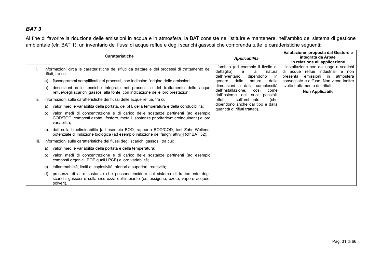Al fine di favorire la riduzione delle emissioni in acqua e in atmosfera, la BAT consiste nell'istituire e mantenere, nell'ambito del sistema di gestione ambientale (cfr. BAT 1), un inventario dei flussi di acque reflue e degli scarichi gassosi che comprenda tutte le caratteristiche seguenti:

<span id="page-30-0"></span>

|      |                                                                            | <b>Caratteristiche</b>                                                                                                                                                                       | Applicabilità                                                                                                  | Valutazione proposta dal Gestore e<br>integrata da Arpae<br>in relazione all'applicazione                                     |
|------|----------------------------------------------------------------------------|----------------------------------------------------------------------------------------------------------------------------------------------------------------------------------------------|----------------------------------------------------------------------------------------------------------------|-------------------------------------------------------------------------------------------------------------------------------|
|      |                                                                            | informazioni circa le caratteristiche dei rifiuti da trattare e dei processi di trattamento dei<br>rifiuti, tra cui:                                                                         | L'ambito (ad esempio il livello di<br>dettaglio)<br>e<br>la<br>natura<br>dell'inventario<br>dipendono<br>-in   | L'installazione non da luogo a scarichi<br>di acque reflue industriali e<br>non<br>presenta<br>emissioni<br>atmosfera<br>in l |
|      | a)                                                                         | flussogrammi semplificati dei processi, che indichino l'origine delle emissioni;                                                                                                             | dalla<br>natura,<br>dalle<br>qenere                                                                            | convogliate e diffuse. Non viene inoltre                                                                                      |
|      | b)                                                                         | descrizioni delle tecniche integrate nei processi e del trattamento delle acque<br>reflue/degli scarichi gassosi alla fonte, con indicazione delle loro prestazioni;                         | dimensioni e dalla complessità<br>dell'installazione.<br>così<br>come<br>dall'insieme dei<br>suoi<br>possibili | svolto trattamento dei rifiuti.<br><b>Non Applicabile</b>                                                                     |
|      | informazioni sulle caratteristiche dei flussi delle acque reflue, tra cui: |                                                                                                                                                                                              | effetti<br>sull'ambiente<br>(che                                                                               |                                                                                                                               |
|      | a)                                                                         | valori medi e variabilità della portata, del pH, della temperatura e della conducibilità;                                                                                                    | dipendono anche dal tipo e dalla<br>quantità di rifiuti trattati).                                             |                                                                                                                               |
|      | b)                                                                         | valori medi di concentrazione e di carico delle sostanze pertinenti (ad esempio<br>COD/TOC, composti azotati, fosforo, metalli, sostanze prioritarie/microinquinanti) e loro<br>variabilità; |                                                                                                                |                                                                                                                               |
|      | C)                                                                         | dati sulla bioeliminabilità [ad esempio BOD, rapporto BOD/COD, test Zahn-Wellens,<br>potenziale di inibizione biologica (ad esempio inibizione dei fanghi attivi)] (cfr.BAT 52);             |                                                                                                                |                                                                                                                               |
| iii. |                                                                            | informazioni sulle caratteristiche dei flussi degli scarichi gassosi, tra cui:                                                                                                               |                                                                                                                |                                                                                                                               |
|      | a)                                                                         | valori medi e variabilità della portata e della temperatura;                                                                                                                                 |                                                                                                                |                                                                                                                               |
|      | b)                                                                         | valori medi di concentrazione e di carico delle sostanze pertinenti (ad esempio<br>composti organici, POP quali i PCB) e loro variabilità;                                                   |                                                                                                                |                                                                                                                               |
|      | C)                                                                         | infiammabilità, limiti di esplosività inferiori e superiori, reattività;                                                                                                                     |                                                                                                                |                                                                                                                               |
|      | d)                                                                         | presenza di altre sostanze che possono incidere sul sistema di trattamento degli<br>scarichi gassosi o sulla sicurezza dell'impianto (es. ossigeno, azoto, vapore acqueo,<br>polveri).       |                                                                                                                |                                                                                                                               |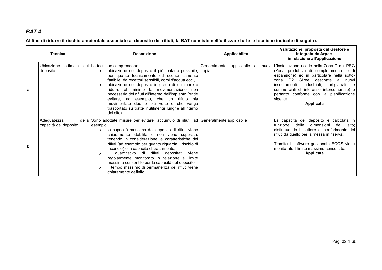**Al fine di ridurre il rischio ambientale associato al deposito dei rifiuti, la BAT consiste nell'utilizzare tutte le tecniche indicate di seguito.**

<span id="page-31-0"></span>

|    | <b>Tecnica</b>                       | <b>Descrizione</b>                                                                                                                                                                                                                                                                                                                                                                                                                                                                                                                                                                                            | Applicabilità                            | Valutazione proposta dal Gestore e<br>integrata da Arpae<br>in relazione all'applicazione                                                                                                                                                                                                                                                              |
|----|--------------------------------------|---------------------------------------------------------------------------------------------------------------------------------------------------------------------------------------------------------------------------------------------------------------------------------------------------------------------------------------------------------------------------------------------------------------------------------------------------------------------------------------------------------------------------------------------------------------------------------------------------------------|------------------------------------------|--------------------------------------------------------------------------------------------------------------------------------------------------------------------------------------------------------------------------------------------------------------------------------------------------------------------------------------------------------|
| a. | Ubicazione<br>ottimale<br>deposito   | del Le tecniche comprendono:<br>ubicazione del deposito il più lontano possibile,<br>x<br>per quanto tecnicamente ed economicamente<br>fattibile, da recettori sensibili, corsi d'acqua ecc.,<br>ubicazione del deposito in grado di eliminare o<br>ridurre al minimo la movimentazione non<br>necessaria dei rifiuti all'interno dell'impianto (onde<br>evitare, ad esempio, che un rifiuto sia<br>movimentato due o più volte o che venga<br>trasportato su tratte inutilmente lunghe all'interno<br>del sito).                                                                                             | Generalmente<br>applicabile<br>impianti. | ai nuovi L'installazione ricade nella Zona D del PRG<br>(Zona produttiva di completamento e di<br>espansione) ed in particolare nella sotto-<br>zona D2<br>(Aree destinate a<br>nuovi<br>artigianali e<br>insediamenti<br>industriali,<br>commerciali di interesse intercomunale) e<br>pertanto conforme con la pianificazione<br>vigente<br>Applicata |
| b. | Adeguatezza<br>capacità del deposito | della Sono adottate misure per evitare l'accumulo di rifiuti, ad Generalmente applicabile<br>esempio:<br>la capacità massima del deposito di rifiuti viene<br>x<br>chiaramente stabilita e non viene superata,<br>tenendo in considerazione le caratteristiche dei<br>rifiuti (ad esempio per quanto riguarda il rischio di<br>incendio) e la capacità di trattamento,<br>quantitativo di rifiuti depositati<br>viene<br>х<br>regolarmente monitorato in relazione al limite<br>massimo consentito per la capacità del deposito,<br>il tempo massimo di permanenza dei rifiuti viene<br>chiaramente definito. |                                          | La capacità del deposito è calcolata in<br>funzione delle<br>dimensioni<br>del<br>sito:<br>distinguendo il settore di conferimento dei<br>rifiuti da quello per la messa in riserva.<br>Tramite il software gestionale ECOS viene<br>monitorato il limite massimo consentito.<br>Applicata                                                             |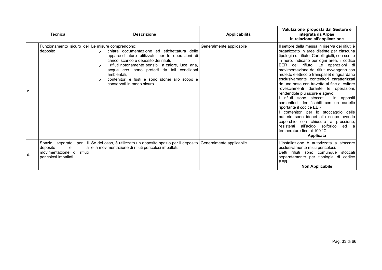| <b>Tecnica</b>                                                                                        | <b>Descrizione</b>                                                                                                                                                                                                                                                                                                                                                     | Applicabilità            | Valutazione proposta dal Gestore e<br>integrata da Arpae<br>in relazione all'applicazione                                                                                                                                                                                                                                                                                                                                                                                                                                                                                                                                                                                                                                                                                                                                                     |
|-------------------------------------------------------------------------------------------------------|------------------------------------------------------------------------------------------------------------------------------------------------------------------------------------------------------------------------------------------------------------------------------------------------------------------------------------------------------------------------|--------------------------|-----------------------------------------------------------------------------------------------------------------------------------------------------------------------------------------------------------------------------------------------------------------------------------------------------------------------------------------------------------------------------------------------------------------------------------------------------------------------------------------------------------------------------------------------------------------------------------------------------------------------------------------------------------------------------------------------------------------------------------------------------------------------------------------------------------------------------------------------|
| Funzionamento sicuro del Le misure comprendono:<br>deposito<br>C.                                     | chiara documentazione ed etichettatura delle<br>$\boldsymbol{x}$<br>apparecchiature utilizzate per le operazioni di<br>carico, scarico e deposito dei rifiuti,<br>i rifiuti notoriamente sensibili a calore, luce, aria,<br>acqua ecc. sono protetti da tali condizioni<br>ambientali,<br>contenitori e fusti e sono idonei allo scopo e<br>conservati in modo sicuro. | Generalmente applicabile | Il settore della messa in riserva dei rifiuti è<br>organizzato in aree distinte per ciascuna<br>tipologia di rifiuto. Cartelli gialli, con scritte<br>in nero, indicano per ogni area, il codice<br>EER del rifiuto. Le operazioni di<br>movimentazione dei rifiuti avvengono con<br>muletto elettrico o transpallet e riguardano<br>esclusivamente contenitori caratterizzati<br>da una base con travette al fine di evitare<br>rovesciamenti durante le operazioni,<br>rendendole più sicure e agevoli.<br>rifiuti sono stoccati<br>in appositi<br>contenitori identificabili con un cartello<br>riportante il codice EER.<br>contenitori per lo stoccaggio delle<br>batterie sono idonei allo scopo avendo<br>coperchio con chiusura a pressione,<br>all'acido solforico<br>resistenti<br>ed a<br>temperature fino ai 100 °C.<br>Applicata |
| Spazio separato<br>per<br>deposito<br>e<br>rifiuti<br>movimentazione di<br>d.<br>pericolosi imballati | il Se del caso, è utilizzato un apposito spazio per il deposito<br>la e la movimentazione di rifiuti pericolosi imballati.                                                                                                                                                                                                                                             | Generalmente applicabile | L'installazione è autorizzata a stoccare<br>esclusivamente rifiuti pericolosi.<br>Detti rifiuti sono comunque<br>stoccati<br>separatamente per tipologia di<br>codice<br>EER.<br><b>Non Applicabile</b>                                                                                                                                                                                                                                                                                                                                                                                                                                                                                                                                                                                                                                       |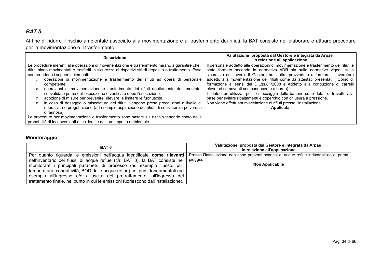Al fine di ridurre il rischio ambientale associato alla movimentazione e al trasferimento dei rifiuti, la BAT consiste nell'elaborare e attuare procedure per la movimentazione e il trasferimento.

| <b>Descrizione</b>                                                                                                                                                                                                                                                                                                                                                                                                                                                                                                                                                                                                                                                                                                                                                                                                                                                                                                                                                 | Valutazione proposta dal Gestore e integrata da Arpae<br>in relazione all'applicazione                                                                                                                                                                                                                                                                                                                                                                                                                                                                                                                                                                                                                                  |
|--------------------------------------------------------------------------------------------------------------------------------------------------------------------------------------------------------------------------------------------------------------------------------------------------------------------------------------------------------------------------------------------------------------------------------------------------------------------------------------------------------------------------------------------------------------------------------------------------------------------------------------------------------------------------------------------------------------------------------------------------------------------------------------------------------------------------------------------------------------------------------------------------------------------------------------------------------------------|-------------------------------------------------------------------------------------------------------------------------------------------------------------------------------------------------------------------------------------------------------------------------------------------------------------------------------------------------------------------------------------------------------------------------------------------------------------------------------------------------------------------------------------------------------------------------------------------------------------------------------------------------------------------------------------------------------------------------|
| Le procedure inerenti alle operazioni di movimentazione e trasferimento mirano a garantire che i<br>rifiuti siano movimentati e trasferiti in sicurezza ai rispettivi siti di deposito o trattamento. Esse<br>comprendono i sequenti elementi:<br>operazioni di movimentazione e trasferimento dei rifiuti ad opera di personale<br>competente,<br>operazioni di movimentazione e trasferimento dei rifiuti debitamente documentate,<br>convalidate prima dell'esecuzione e verificate dopo l'esecuzione,<br>adozione di misure per prevenire, rilevare, e limitare le fuoriuscite,<br>in caso di dosaggio o miscelatura dei rifiuti, vengono prese precauzioni a livello di<br>operatività e progettazione (ad esempio aspirazione dei rifiuti di consistenza polverosa<br>o farinosa).<br>Le procedure per movimentazione e trasferimento sono basate sul rischio tenendo conto della<br>probabilità di inconvenienti e incidenti e del loro impatto ambientale. | Il personale addetto alle operazioni di movimentazione e trasferimento dei rifiuti è<br>stato formato secondo la normativa ADR sia sulle normative vigenti sulla<br>sicurezza del lavoro. Il Gestore ha inoltre provveduto a formare il lavoratore<br>addetto alla movimentazione dei rifiuti come da attestati presentati (Corso di<br>formazione ai sensi del D.Lgs.81/2008 e Addetto alla conduzione di carrelli<br>elevatori semoventi con conducente a bordo).<br>contenitori utilizzati per lo stoccaggio delle batterie sono dotati di travette alla<br>base per evitare ribaltamenti e coperchio con chiusura a pressione.<br>Non viene effettuata miscelazione di rifiuti presso l'installazione.<br>Applicata |

#### **Monitoraggio**

<span id="page-33-0"></span>

| BAT 6                                                                                                                                                                                                                                                                                                                                                                                                                                                                               | Valutazione proposta dal Gestore e integrata da Arpae<br>in relazione all'applicazione                                   |
|-------------------------------------------------------------------------------------------------------------------------------------------------------------------------------------------------------------------------------------------------------------------------------------------------------------------------------------------------------------------------------------------------------------------------------------------------------------------------------------|--------------------------------------------------------------------------------------------------------------------------|
| Per quanto riguarda le emissioni nell'acqua identificate come rilevanti<br>nell'inventario dei flussi di acque reflue (cfr. BAT 3), la BAT consiste nel<br>monitorare i principali parametri di processo (ad esempio flusso, pH,<br>temperatura, conduttività, BOD delle acque reflue) nei punti fondamentali (ad<br>esempio all'ingresso e/o all'uscita del pretrattamento, all'ingresso del<br>trattamento finale, nel punto in cui le emissioni fuoriescono dall'installazione). | Presso l'installazione non sono presenti scarichi di acque reflue industriali ne di prima<br>pioggia.<br>Non Applicabile |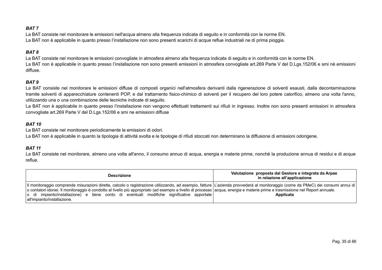La BAT consiste nel monitorare le emissioni nell'acqua almeno alla frequenza indicata di seguito e in conformità con le norme EN. La BAT non è applicabile in quanto presso l'installazione non sono presenti scarichi di acque reflue industriali ne di prima pioggia.

#### *BAT 8*

La BAT consiste nel monitorare le emissioni convogliate in atmosfera almeno alla frequenza indicata di seguito e in conformità con le norme EN. La BAT non è applicabile in quanto presso l'installazione non sono presenti emissioni in atmosfera convogliate art.269 Parte V del D.Lgs.152/06 e smi nè emissioni diffuse.

#### *BAT 9*

La BAT consiste nel monitorare le emissioni diffuse di composti organici nell'atmosfera derivanti dalla rigenerazione di solventi esausti, dalla decontaminazione tramite solventi di apparecchiature contenenti POP, e dal trattamento fisico-chimico di solventi per il recupero del loro potere calorifico, almeno una volta l'anno, utilizzando una o una combinazione delle tecniche indicate di seguito.

La BAT non è applicabile in quanto presso l'installazione non vengono effettuati trattamenti sui rifiuti in ingresso. Inoltre non sono presenti emissioni in atmosfera convogliate art.269 Parte V del D.Lgs.152/06 e smi ne emissioni diffuse

#### *BAT 10*

La BAT consiste nel monitorare periodicamente le emissioni di odori.

<span id="page-34-4"></span>La BAT non è applicabile in quanto la tipologia di attività svolta e le tipologie di rifiuti stoccati non determinano la diffusione di emissioni odorigene.

#### *BAT 11*

La BAT consiste nel monitorare, almeno una volta all'anno, il consumo annuo di acqua, energia e materie prime, nonché la produzione annua di residui e di acque reflue.

<span id="page-34-3"></span><span id="page-34-2"></span><span id="page-34-1"></span><span id="page-34-0"></span>

| <b>Descrizione</b>                                                                                                                                                                                                                                                                                                                                                                                                                                                                                | Valutazione proposta dal Gestore e integrata da Arpae<br>in relazione all'applicazione |
|---------------------------------------------------------------------------------------------------------------------------------------------------------------------------------------------------------------------------------------------------------------------------------------------------------------------------------------------------------------------------------------------------------------------------------------------------------------------------------------------------|----------------------------------------------------------------------------------------|
| Il monitoraggio comprende misurazioni dirette, calcolo o registrazione utilizzando, ad esempio, fatture   L'azienda provvederà al monitoraggio (come da PMeC) dei consumi annui di  <br>o contatori idonei. Il monitoraggio è condotto al livello più appropriato (ad esempio a livello di processo acqua, energia e materie prime e trasmissione nel Report annuale.<br>o di impianto/installazione) e tiene conto di eventuali modifiche significative apportate<br>all'impianto/installazione. | Applicata                                                                              |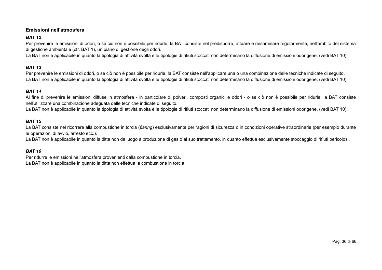#### **Emissioni nell'atmosfera**

#### *BAT 12*

Per prevenire le emissioni di odori, o se ciò non è possibile per ridurle, la BAT consiste nel predisporre, attuare e riesaminare regolarmente, nell'ambito del sistema di gestione ambientale (cfr. BAT 1), un piano di gestione degli odori.

La BAT non è applicabile in quanto la tipologia di attività svolta e le tipologie di rifiuti stoccati non determinano la diffusione di emissioni odorigene. (vedi BAT 10).

#### *BAT 13*

Per prevenire le emissioni di odori, o se ciò non è possibile per ridurle, la BAT consiste nell'applicare una o una combinazione delle tecniche indicate di seguito. La BAT non è applicabile in quanto la tipologia di attività svolta e le tipologie di rifiuti stoccati non determinano la diffusione di emissioni odorigene. (vedi BAT 10).

#### *BAT 14*

Al fine di prevenire le emissioni diffuse in atmosfera - in particolare di polveri, composti organici e odori - o se ciò non è possibile per ridurle, la BAT consiste nell'utilizzare una combinazione adeguata delle tecniche indicate di seguito.

La BAT non è applicabile in quanto la tipologia di attività svolta e le tipologie di rifiuti stoccati non determinano la diffusione di emissioni odorigene. (vedi BAT 10).

#### *BAT 15*

La BAT consiste nel ricorrere alla combustione in torcia (*flaring*) esclusivamente per ragioni di sicurezza o in condizioni operative straordinarie (per esempio durante le operazioni di avvio, arresto ecc.).

La BAT non è applicabile in quanto la ditta non da luogo a produzione di gas o al suo trattamento, in quanto effettua esclusivamente stoccaggio di rifiuti pericolosi.

#### <span id="page-35-4"></span>*BAT 16*

<span id="page-35-3"></span><span id="page-35-2"></span><span id="page-35-1"></span><span id="page-35-0"></span>Per ridurre le emissioni nell'atmosfera provenienti dalla combustione in torcia. La BAT non è applicabile in quanto la ditta non effettua la combustione in torcia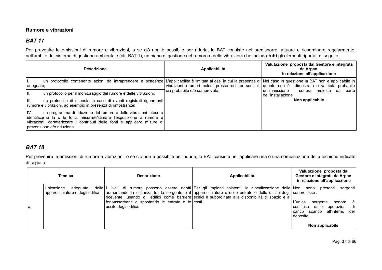#### **Rumore e vibrazioni**

### *BAT 17*

Per prevenire le emissioni di rumore e vibrazioni, o se ciò non è possibile per ridurle, la BAT consiste nel predisporre, attuare e riesaminare regolarmente, nell'ambito del sistema di gestione ambientale (cfr. BAT 1), un piano di gestione del rumore e delle vibrazioni che includa **tutti** gli elementi riportati di seguito:

| <b>Descrizione</b>                                                                                                                                                                                                                                           | Applicabilità                                                                                       | Valutazione proposta dal Gestore e integrata<br>da Arpae<br>in relazione all'applicazione |
|--------------------------------------------------------------------------------------------------------------------------------------------------------------------------------------------------------------------------------------------------------------|-----------------------------------------------------------------------------------------------------|-------------------------------------------------------------------------------------------|
| un protocollo contenente azioni da intraprendere e scadenze L'applicabilità è limitata ai casi in cui la presenza di Nel caso in questione la BAT non è applicabile in<br>adequate;                                                                          | vibrazioni o rumori molesti presso recettori sensibili quanto non è dimostrata o valutata probabile |                                                                                           |
| un protocollo per il monitoraggio del rumore e delle vibrazioni;                                                                                                                                                                                             | sia probabile e/o comprovata.                                                                       | l un'immissione<br>molesta da parte<br>sonora<br>dell'installazione                       |
| III.<br>un protocollo di risposta in caso di eventi registrati riguardanti<br>rumore e vibrazioni, ad esempio in presenza di rimostranze;                                                                                                                    |                                                                                                     | Non applicabile                                                                           |
| un programma di riduzione del rumore e delle vibrazioni inteso a<br>IV.<br>identificarne la o le fonti, misurare/stimare l'esposizione a rumore e<br>vibrazioni, caratterizzare i contributi delle fonti e applicare misure di<br>prevenzione e/o riduzione. |                                                                                                     |                                                                                           |

### <span id="page-36-1"></span>*BAT 18*

Per prevenire le emissioni di rumore e vibrazioni, o se ciò non è possibile per ridurle, la BAT consiste nell'applicare una o una combinazione delle tecniche indicate di seguito.

<span id="page-36-0"></span>

| Tecnica                                                                       | <b>Descrizione</b>                                                             | Applicabilità                                                                                                                                                                                                                                                                                                                    | Valutazione proposta dal<br>Gestore e integrata da Arpae<br>in relazione all'applicazione                                                                         |
|-------------------------------------------------------------------------------|--------------------------------------------------------------------------------|----------------------------------------------------------------------------------------------------------------------------------------------------------------------------------------------------------------------------------------------------------------------------------------------------------------------------------|-------------------------------------------------------------------------------------------------------------------------------------------------------------------|
| Ubicazione<br>delle   I<br>adequata<br>apparecchiature e degli edifici<br>Ia. | fonoassorbenti e spostando le entrate o le $\cos t$ .<br>uscite degli edifici. | livelli di rumore possono essere ridotti Per gli impianti esistenti, la rilocalizzazione delle Non sono<br>aumentando la distanza fra la sorgente e il apparecchiature e delle entrate o delle uscite degli sonore fisse.<br>ricevente, usando gli edifici come barriere edifici è subordinata alla disponibilità di spazio e ai | presenti<br>sorgenti<br>L'unica<br>sorgente<br>sonora èl<br>operazioni di<br>costituita<br>dalle<br>carico scarico all'interno del<br>deposito<br>Non applicabile |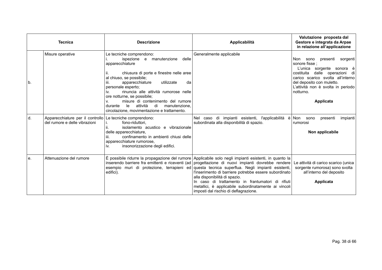|    | <b>Tecnica</b>                                                                             | <b>Descrizione</b>                                                                                                                                                                                                                                                                                                                                                                                                                                                 | Applicabilità                                                                                                                                                                                                                                                                                                                                                                                                                                                                                                                                                | Valutazione proposta dal<br>Gestore e integrata da Arpae<br>in relazione all'applicazione                                                                                                                                                              |
|----|--------------------------------------------------------------------------------------------|--------------------------------------------------------------------------------------------------------------------------------------------------------------------------------------------------------------------------------------------------------------------------------------------------------------------------------------------------------------------------------------------------------------------------------------------------------------------|--------------------------------------------------------------------------------------------------------------------------------------------------------------------------------------------------------------------------------------------------------------------------------------------------------------------------------------------------------------------------------------------------------------------------------------------------------------------------------------------------------------------------------------------------------------|--------------------------------------------------------------------------------------------------------------------------------------------------------------------------------------------------------------------------------------------------------|
| b. | Misure operative                                                                           | Le tecniche comprendono:<br>ispezione e manutenzione<br>delle<br>apparecchiature<br>chiusura di porte e finestre nelle aree<br>н.<br>al chiuso, se possibile;<br>apparecchiature<br>utilizzate<br>da<br>iii.<br>personale esperto;<br>rinuncia alle attività rumorose nelle<br>İV.<br>ore notturne, se possibile;<br>misure di contenimento del rumore<br>V.<br>attività<br>di<br>le le<br>manutenzione.<br>durante<br>circolazione, movimentazione e trattamento. | Generalmente applicabile                                                                                                                                                                                                                                                                                                                                                                                                                                                                                                                                     | Non sono<br>presenti<br>sorgenti<br>sonore fisse :<br>L'unica sorgente sonora è<br>dalle operazioni di<br>costituita<br>carico scarico svolta all'interno<br>del deposito con muletto.<br>L'attività non è svolta in periodo<br>notturno.<br>Applicata |
| d. | Apparecchiature per il controllo Le tecniche comprendono:<br>del rumore e delle vibrazioni | fono-riduttori.<br>isolamento acustico e vibrazionale<br>н.<br>delle apparecchiature,<br>confinamento in ambienti chiusi delle<br>iii.<br>apparecchiature rumorose,<br>insonorizzazione degli edifici.<br>İV.                                                                                                                                                                                                                                                      | Nel caso di impianti esistenti, l'applicabilità è Non sono<br>subordinata alla disponibilità di spazio.                                                                                                                                                                                                                                                                                                                                                                                                                                                      | presenti<br>impianti<br>rumorosi<br>Non applicabile                                                                                                                                                                                                    |
| е. | Attenuazione del rumore                                                                    | edifici).                                                                                                                                                                                                                                                                                                                                                                                                                                                          | È possibile ridurre la propagazione del rumore Applicabile solo negli impianti esistenti, in quanto la<br>inserendo barriere fra emittenti e riceventi (ad progettazione di nuovi impianti dovrebbe rendere<br>esempio muri di protezione, terrapieni ed questa tecnica superflua. Negli impianti esistenti,<br>l'inserimento di barriere potrebbe essere subordinato<br>alla disponibilità di spazio.<br>In caso di trattamento in frantumatori di rifiuti<br>metallici, è applicabile subordinatamente ai vincoli<br>imposti dal rischio di deflagrazione. | Le attività di carico scarico (unica<br>sorgente rumorosa) sono svolta<br>all'interno del deposito<br>Applicata                                                                                                                                        |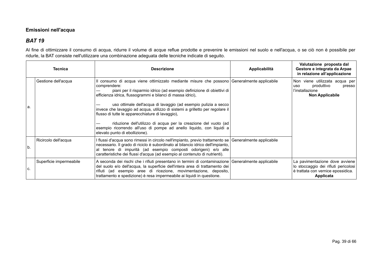#### **Emissioni nell'acqua**

### *BAT 19*

Al fine di ottimizzare il consumo di acqua, ridurre il volume di acque reflue prodotte e prevenire le emissioni nel suolo e nell'acqua, o se ciò non è possibile per ridurle, la BAT consiste nell'utilizzare una combinazione adeguata delle tecniche indicate di seguito.

<span id="page-38-0"></span>

|     | Tecnica                 | <b>Descrizione</b>                                                                                                                                                                                                                                                                                                                                                                                                                                                                                                                                                                                    | Applicabilità | Valutazione proposta dal<br>Gestore e integrata da Arpae<br>in relazione all'applicazione                                 |
|-----|-------------------------|-------------------------------------------------------------------------------------------------------------------------------------------------------------------------------------------------------------------------------------------------------------------------------------------------------------------------------------------------------------------------------------------------------------------------------------------------------------------------------------------------------------------------------------------------------------------------------------------------------|---------------|---------------------------------------------------------------------------------------------------------------------------|
| а.  | Gestione dell'acqua     | Il consumo di acqua viene ottimizzato mediante misure che possono Generalmente applicabile<br>comprendere:<br>piani per il risparmio idrico (ad esempio definizione di obiettivi di<br>efficienza idrica, flussogrammi e bilanci di massa idrici),<br>uso ottimale dell'acqua di lavaggio (ad esempio pulizia a secco<br>invece che lavaggio ad acqua, utilizzo di sistemi a grilletto per regolare il<br>flusso di tutte le apparecchiature di lavaggio),<br>riduzione dell'utilizzo di acqua per la creazione del vuoto (ad<br>esempio ricorrendo all'uso di pompe ad anello liquido, con liquidi a |               | viene utilizzata acqua per<br>Non<br>produttivo<br>presso<br>uso<br>l'installazione<br><b>Non Applicabile</b>             |
| ۱b. | Ricircolo dell'acqua    | elevato punto di ebollizione).<br>I flussi d'acqua sono rimessi in circolo nell'impianto, previo trattamento se   Generalmente applicabile<br>necessario. Il grado di riciclo è subordinato al bilancio idrico dell'impianto,<br>al tenore di impurità (ad esempio composti odorigeni) e/o alle<br>caratteristiche dei flussi d'acqua (ad esempio al contenuto di nutrienti).                                                                                                                                                                                                                         |               |                                                                                                                           |
| C.  | Superficie impermeabile | A seconda dei rischi che i rifiuti presentano in termini di contaminazione Generalmente applicabile<br>del suolo e/o dell'acqua, la superficie dell'intera area di trattamento dei<br>rifiuti (ad esempio aree di ricezione, movimentazione, deposito,<br>trattamento e spedizione) è resa impermeabile ai liquidi in questione.                                                                                                                                                                                                                                                                      |               | La pavimentazione dove avviene<br>lo stoccaggio dei rifiuti pericolosi<br>è trattata con vernice epossidica.<br>Applicata |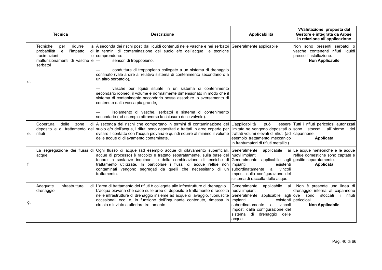|     | <b>Tecnica</b>                                                                                                                   | <b>Descrizione</b>                                                                                                                                                                                                                                                                                                                                                                                                                       | Applicabilità                                                                                                                                                                                                                             | VValutazione proposta dal<br>Gestore e integrata da Arpae<br>in relazione all'applicazione                                 |
|-----|----------------------------------------------------------------------------------------------------------------------------------|------------------------------------------------------------------------------------------------------------------------------------------------------------------------------------------------------------------------------------------------------------------------------------------------------------------------------------------------------------------------------------------------------------------------------------------|-------------------------------------------------------------------------------------------------------------------------------------------------------------------------------------------------------------------------------------------|----------------------------------------------------------------------------------------------------------------------------|
|     | Tecniche<br>ridurre<br>per<br>probabilità<br><b>l'impatto</b><br>e<br>tracimazioni<br>malfunzionamenti di vasche e -<br>serbatoi | la A seconda dei rischi posti dai liquidi contenuti nelle vasche e nei serbatoi Generalmente applicabile<br>di in termini di contaminazione del suolo e/o dell'acqua, le tecniche<br>$e$   comprendono:<br>sensori di troppopieno,                                                                                                                                                                                                       |                                                                                                                                                                                                                                           | Non sono presenti serbatoi o<br>vasche contenenti rifiuti liquidi<br>presso l'installazione.<br><b>Non Applicabile</b>     |
| d.  |                                                                                                                                  | condutture di troppopieno collegate a un sistema di drenaggio<br>confinato (vale a dire al relativo sistema di contenimento secondario o a<br>un altro serbatoio),                                                                                                                                                                                                                                                                       |                                                                                                                                                                                                                                           |                                                                                                                            |
|     |                                                                                                                                  | vasche per liquidi situate in un sistema di contenimento<br>secondario idoneo; il volume è normalmente dimensionato in modo che il<br>sistema di contenimento secondario possa assorbire lo sversamento di<br>contenuto dalla vasca più grande,                                                                                                                                                                                          |                                                                                                                                                                                                                                           |                                                                                                                            |
|     |                                                                                                                                  | isolamento di vasche, serbatoi e sistema di contenimento<br>secondario (ad esempio attraverso la chiusura delle valvole).                                                                                                                                                                                                                                                                                                                |                                                                                                                                                                                                                                           |                                                                                                                            |
| е.  | Copertura<br>delle<br>zone<br>rifiuti                                                                                            | di   A seconda dei rischi che comportano in termini di contaminazione del<br>deposito e di trattamento dei suolo e/o dell'acqua, i rifiuti sono depositati e trattati in aree coperte per<br>evitare il contatto con l'acqua piovana e quindi ridurre al minimo il volume<br>delle acque di dilavamento contaminate.                                                                                                                     | L'applicabilità<br>può<br>limitata se vengono depositati o sono<br>trattati volumi elevati di rifiuti (ad capannone.<br>esempio trattamento meccanico<br>in frantumatori di rifiuti metallici).                                           | essere Tutti i rifiuti pericolosi autorizzati<br>stoccati all'interno<br>del<br>Applicata                                  |
| lf. | acque                                                                                                                            | La segregazione dei flussi di Ogni flusso di acque (ad esempio acque di dilavamento superficiali,<br>acque di processo) è raccolto e trattato separatamente, sulla base del<br>tenore in sostanze inquinanti e della combinazione di tecniche di<br>trattamento utilizzate. In particolare i flussi di acque reflue non<br>contaminati vengono segregati da quelli che necessitano di un<br>trattamento.                                 | Generalmente<br>applicabile<br>nuovi impianti.<br>Generalmente applicabile agli gestite separatamente.<br>impianti<br>esistenti<br>subordinatamente<br>ai vincoli<br>imposti dalla configurazione del<br>sistema di raccolta delle acque. | ai Le acque meteoriche e le acque<br>reflue domestiche sono captate e<br>Applicata                                         |
| g.  | Adeguate<br>infrastrutture<br>drenaggio                                                                                          | di L'area di trattamento dei rifiuti è collegata alle infrastrutture di drenaggio.<br>L'acqua piovana che cade sulle aree di deposito e trattamento è raccolta nuovi impianti.<br>nelle infrastrutture di drenaggio insieme ad acque di lavaggio, fuoriuscite Generalmente applicabile agli   ove sono stoccati i<br>occasionali ecc. e, in funzione dell'inquinante contenuto, rimessa in<br>circolo o inviata a ulteriore trattamento. | Generalmente<br>applicabile<br>ai<br>impianti<br>subordinatamente<br>ai<br>vincoli<br>imposti dalla configurazione del<br>sistema<br>di<br>drenaggio<br>delle<br>acque.                                                                   | Non è presente una linea di<br>drenaggio interna al capannone<br>rifiuti<br>esistenti pericolosi<br><b>Non Applicabile</b> |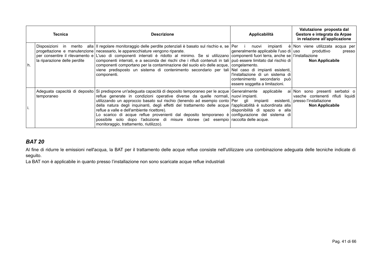| Tecnica |                              | <b>Descrizione</b>                                                                                                                                                                                                                                                                                                                                                                                                                                                                                                                                                                                                                                                                                                                                                               | Applicabilità                                                                                                                                         | Valutazione proposta dal<br>Gestore e integrata da Arpae<br>in relazione all'applicazione |
|---------|------------------------------|----------------------------------------------------------------------------------------------------------------------------------------------------------------------------------------------------------------------------------------------------------------------------------------------------------------------------------------------------------------------------------------------------------------------------------------------------------------------------------------------------------------------------------------------------------------------------------------------------------------------------------------------------------------------------------------------------------------------------------------------------------------------------------|-------------------------------------------------------------------------------------------------------------------------------------------------------|-------------------------------------------------------------------------------------------|
| h.      | la riparazione delle perdite | Disposizioni in merito alla III regolare monitoraggio delle perdite potenziali è basato sul rischio e, se Per i nuovi impianti è Non viene utilizzata acqua per<br>progettazione e manutenzione necessario, le apparecchiature vengono riparate.<br>per consentire il rilevamento e L'uso di componenti interrati è ridotto al minimo. Se si utilizzano componenti fuori terra, anche se l'installazione<br>componenti interrati, e a seconda dei rischi che i rifiuti contenuti in tali può essere limitato dal rischio di<br>componenti comportano per la contaminazione del suolo e/o delle acque, congelamento.<br>viene predisposto un sistema di contenimento secondario per tali Nel caso di impianti esistenti,<br>componenti.                                           | generalmente applicabile l'uso di uso produttivo<br>l'installazione di un sistema di<br>contenimento secondario può<br>essere soggetta a limitazioni. | presso<br>Non Applicabile                                                                 |
|         | temporaneo                   | Adeguata capacità di deposito Si predispone un'adeguata capacità di deposito temporaneo per le acque Generalmente applicabile ai Non sono presenti serbatoi o<br>reflue generate in condizioni operative diverse da quelle normali, nuovi impianti.<br>utilizzando un approccio basato sul rischio (tenendo ad esempio conto Per gli impianti esistenti, presso l'installazione<br>della natura degli inguinanti, degli effetti del trattamento delle acque l'applicabilità è subordinata alla l<br>reflue a valle e dell'ambiente ricettore).<br>Lo scarico di acque reflue provenienti dal deposito temporaneo è configurazione del sistema di<br>possibile solo dopo l'adozione di misure idonee (ad esempio raccolta delle acque.<br>monitoraggio, trattamento, riutilizzo). | disponibilità di spazio e alla                                                                                                                        | vasche contenenti rifiuti liquidi<br>Non Applicabile                                      |

Al fine di ridurre le emissioni nell'acqua, la BAT per il trattamento delle acque reflue consiste nell'utilizzare una combinazione adeguata delle tecniche indicate di seguito.

<span id="page-40-0"></span>La BAT non è applicabile in quanto presso l'installazione non sono scaricate acque reflue industriali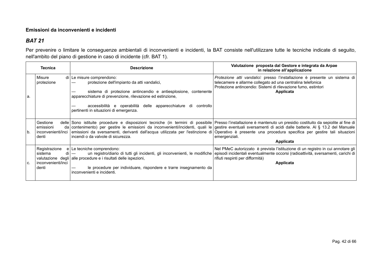#### **Emissioni da inconvenienti e incidenti**

### *BAT 21*

Per prevenire o limitare le conseguenze ambientali di inconvenienti e incidenti, la BAT consiste nell'utilizzare tutte le tecniche indicate di seguito, nell'ambito del piano di gestione in caso di incidente (cfr. BAT 1).

<span id="page-41-0"></span>

| <b>Tecnica</b>                                                        | <b>Descrizione</b>                                                                                                                                                                                                                                                                                                                                                     | Valutazione proposta dal Gestore e integrata da Arpae<br>in relazione all'applicazione                                                                                                                                   |
|-----------------------------------------------------------------------|------------------------------------------------------------------------------------------------------------------------------------------------------------------------------------------------------------------------------------------------------------------------------------------------------------------------------------------------------------------------|--------------------------------------------------------------------------------------------------------------------------------------------------------------------------------------------------------------------------|
| Misure<br>protezione<br>a.                                            | di Le misure comprendono:<br>protezione dell'impianto da atti vandalici,<br>sistema di protezione antincendio e antiesplosione, contenente<br>apparecchiature di prevenzione, rilevazione ed estinzione,<br>accessibilità e operabilità delle apparecchiature di controllo<br>pertinenti in situazioni di emergenza.                                                   | Protezione atti vandalici: presso l'installazione è presente un sistema di<br>telecamere e allarme collegato ad una centralina telefonica<br>Protezione antincendio: Sistemi di rilevazione fumo, estintori<br>Applicata |
| Gestione<br>emissioni<br>inconvenienti/inci<br>b.<br>denti            | delle Sono istituite procedure e disposizioni tecniche (in termini di possibile Presso l'installazione è mantenuto un presidio costituito da sepiolite al fine di<br>da contenimento) per gestire le emissioni da inconvenienti/incidenti, quali le gestire eventuali sversamenti di acidi dalle batterie. Al § 13.2 del Manuale<br>incendi o da valvole di sicurezza. | emissioni da sversamenti, derivanti dall'acqua utilizzata per l'estinzione di Operativo è presente una procedura specifica per gestire tali situazioni<br>emergenziali.<br>Applicata                                     |
| Registrazione<br>sistema<br>di<br>l inconvenienti/inci<br>C.<br>denti | $e \mid$ Le tecniche comprendono:<br>un registro/diario di tutti gli incidenti, gli inconvenienti, le modifiche<br>valutazione degli alle procedure e i risultati delle ispezioni,<br>le procedure per individuare, rispondere e trarre insegnamento da<br>inconvenienti e incidenti.                                                                                  | Nel PMeC autorizzato è prevista l'istituzione di un registro in cui annotare gli<br>episodi incidentali eventualmente occorsi (radioattività, sversamenti, carichi di<br>rifiuti respinti per difformità)<br>Applicata   |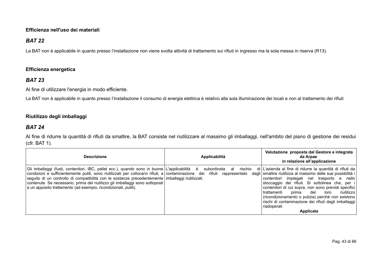#### **Efficienza nell'uso dei materiali**

### *BAT 22*

La BAT non è applicabile in quanto presso l'installazione non viene svolta attività di trattamento sui rifiuti in ingresso ma la sola messa in riserva (R13).

#### **Efficienza energetica**

### *BAT 23*

Al fine di utilizzare l'energia in modo efficiente.

La BAT non è applicabile in quanto presso l'installazione il consumo di energia elettrica è relativo alla sola illuminazione dei locali e non al trattamento dei rifiuti

#### **Riutilizzo degli imballaggi**

### *BAT 24*

Al fine di ridurre la quantità di rifiuti da smaltire, la BAT consiste nel riutilizzare al massimo gli imballaggi, nell'ambito del piano di gestione dei residui (cfr. BAT 1).

<span id="page-42-2"></span><span id="page-42-1"></span><span id="page-42-0"></span>

| <b>Descrizione</b>                                                                                                                                                                                                                                                                                                                                                                                                                                             | Applicabilità                                            | Valutazione proposta dal Gestore e integrata<br>da Arpae<br>in relazione all'applicazione                                                                                                                                                                                                                                                                                                                                                                                                        |
|----------------------------------------------------------------------------------------------------------------------------------------------------------------------------------------------------------------------------------------------------------------------------------------------------------------------------------------------------------------------------------------------------------------------------------------------------------------|----------------------------------------------------------|--------------------------------------------------------------------------------------------------------------------------------------------------------------------------------------------------------------------------------------------------------------------------------------------------------------------------------------------------------------------------------------------------------------------------------------------------------------------------------------------------|
| Gli imballaggi (fusti, contenitori, IBC, pallet ecc.), quando sono in buone L'applicabilità è<br>condizioni e sufficientemente puliti, sono riutilizzati per collocarvi rifiuti, a contaminazione dei<br>seguito di un controllo di compatibilità con le sostanze precedentemente imballaggi riutilizzati.<br>contenute. Se necessario, prima del riutilizzo gli imballaggi sono sottoposti<br>a un apposito trattamento (ad esempio, ricondizionati, puliti). | subordinata<br>rischio<br>al<br>rifiuti<br>rappresentato | di L'azienda al fine di ridurre la quantità di rifiuti da<br>dagli smaltire riutilizza al massimo delle sue possibilità i<br>impiegati nel trasporto e nello<br>contenitori<br>stoccaggio dei rifiuti. Si sottolinea che, per i<br>contenitori di cui sopra, non sono previsti specifici<br>riutilizzo<br>l trattamenti<br>del<br>prima<br>loro<br>(ricondizionamento o pulizia) perché non esistono<br>rischi di contaminazione dei rifiuti dagli imballaggi<br>riadoperati<br><b>Applicata</b> |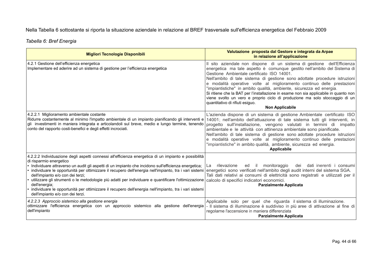Nella Tabella 6 sottostante si riporta la situazione aziendale in relazione al BREF trasversale sull'efficienza energetica del Febbraio 2009

*Tabella 6: Bref Energia*

| <b>Migliori Tecnologie Disponibili</b>                                                                                                                                                                                                                                                                                                                                                                                                                                                                                                                                                                                                                          | Valutazione proposta dal Gestore e integrata da Arpae<br>in relazione all'applicazione                                                                                                                                                                                                                                                                                                                                                                                                                                                                                                                                                                               |
|-----------------------------------------------------------------------------------------------------------------------------------------------------------------------------------------------------------------------------------------------------------------------------------------------------------------------------------------------------------------------------------------------------------------------------------------------------------------------------------------------------------------------------------------------------------------------------------------------------------------------------------------------------------------|----------------------------------------------------------------------------------------------------------------------------------------------------------------------------------------------------------------------------------------------------------------------------------------------------------------------------------------------------------------------------------------------------------------------------------------------------------------------------------------------------------------------------------------------------------------------------------------------------------------------------------------------------------------------|
| 4.2.1 Gestione dell'efficienza energetica<br>Implementare ed aderire ad un sistema di gestione per l'efficienza energetica                                                                                                                                                                                                                                                                                                                                                                                                                                                                                                                                      | Il sito aziendale non dispone di un sistema di gestione dell'Efficienza<br>energetica ma tale aspetto è comunque gestito nell'ambito del Sistema di<br>Gestione Ambientale certificato ISO 14001.<br>Nell'ambito di tale sistema di gestione sono adottate procedure istruzioni<br>e modalità operative volte al miglioramento continuo delle prestazioni<br>"impiantistiche" in ambito qualità, ambiente, sicurezza ed energia.<br>Si ritiene che la BAT per l'installazione in esame non sia applicabile in quanto non<br>viene svolto un vero e proprio ciclo di produzione ma solo stoccaggio di un<br>quantitativo di rifiuti esiguo.<br><b>Non Applicabile</b> |
| 4.2.2.1 Miglioramento ambientale costante<br>Ridurre costantemente al minimo l'impatto ambientale di un impianto pianificando gli interventi e<br>gli investimenti in maniera integrata e articolandoli sul breve, medio e lungo termine, tenendo<br>conto del rapporto costi-benefici e degli effetti incrociati.                                                                                                                                                                                                                                                                                                                                              | L'azienda dispone di un sistema di gestione Ambientale certificato ISO<br>14001; nell'ambito dell'attuazione di tale sistema tutti gli interventi, in<br>progetto sull'installazione, vengono valutati in termini di impatto<br>ambientale e le attività con attinenza ambientale sono pianificate.<br>Nell'ambito di tale sistema di gestione sono adottate procedure istruzioni<br>e modalità operative volte al miglioramento continuo delle prestazioni<br>"impiantistiche" in ambito qualità, ambiente, sicurezza ed energia.<br>Applicabile                                                                                                                    |
| 4.2.2.2 Individuazione degli aspetti connessi all'efficienza energetica di un impianto e possibilità<br>di risparmio energetico<br>· Individuare attraverso un audit gli aspetti di un impianto che incidono sull'efficienza energetica;<br>· individuare le opportunità per ottimizzare il recupero dell'energia nell'impianto, tra i vari sistemi<br>dell'impianto e/o con dei terzi;<br>utilizzare gli strumenti o le metodologie più adatti per individuare e quantificare l'ottimizzazione<br>dell'energia;<br>· individuare le opportunità per ottimizzare il recupero dell'energia nell'impianto, tra i vari sistemi<br>dell'impianto e/o con dei terzi. | monitoraggio<br>rilevazione<br>dei dati inerenti i consumi<br>ed il<br>La<br>energetici sono verificati nell'ambito degli audit interni del sistema SGA.<br>Tali dati relativi ai consumi di elettricità sono registrati e utilizzati per il<br>calcolo di specifici indicatori economici.<br><b>Parzialmente Applicata</b>                                                                                                                                                                                                                                                                                                                                          |
| 4.2.2.3 Approccio sistemico alla gestione energia<br>ottimizzare l'efficienza energetica con un approccio sistemico alla gestione dell'energia  - Il sistema di illuminazione è suddiviso in più aree di attivazione al fine di<br>dell'impianto                                                                                                                                                                                                                                                                                                                                                                                                                | Applicabile solo per quel che riguarda il sistema di illuminazione.<br>regolarne l'accensione in maniera differenziata<br><b>Parzialmente Applicata</b>                                                                                                                                                                                                                                                                                                                                                                                                                                                                                                              |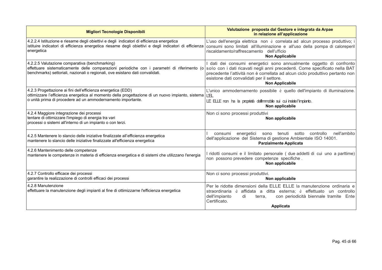| <b>Migliori Tecnologie Disponibili</b>                                                                                                                                                                                          | Valutazione proposta dal Gestore e integrata da Arpae<br>in relazione all'applicazione                                                                                                                                                                                                                    |
|---------------------------------------------------------------------------------------------------------------------------------------------------------------------------------------------------------------------------------|-----------------------------------------------------------------------------------------------------------------------------------------------------------------------------------------------------------------------------------------------------------------------------------------------------------|
| 4.2.2.4 Istituzione e riesame degli obiettivi e degli indicatori di efficienza energetica<br>istituire indicatori di efficienza energetica riesame degli obiettivi e degli indicatori di efficienza<br>energetica               | L'uso dell'energia elettrica non è correlata ad alcun processo produttivo; i<br>consumi sono limitati all'illuminazione e all'uso della pompa di caloreperil<br>riscaldamento/raffrescamento dell'ufficio<br><b>Non Applicabile</b>                                                                       |
| 4.2.2.5 Valutazione comparativa (benchmarking)<br>effettuare sistematicamente delle comparazioni periodiche con i parametri di riferimento (o<br>benchmarks) settoriali, nazionali o regionali, ove esistano dati convalidati.  | I dati dei consumi energetici sono annualmente oggetto di confronto<br>solo con i dati ricavati negli anni precedenti. Come specificato nella BAT<br>precedente l'attività non è correllata ad alcun ciclo produttivo pertanto non<br>esistone dati convalidati per il settore.<br><b>Non Applicabile</b> |
| 4.2.3 Progettazione ai fini dell'efficienza energetica (EDD)<br>ottimizzare l'efficienza energetica al momento della progettazione di un nuovo impianto, sistema<br>o unità prima di procedere ad un ammodernamento importante. | L'unico ammodernamento possibile è quello dell'impianto di illuminazione.<br><b>LEL</b><br>LE ELLE non ha la proprietà dell'immobile sui cui insiste l'impianto.<br>Non applicabile                                                                                                                       |
| 4.2.4 Maggiore integrazione dei processi<br>tentare di ottimizzare l'impiego di energia tra vari<br>processi o sistemi all'interno di un impianto o con terzi.                                                                  | Non ci sono processi produttivi<br>Non applicabile                                                                                                                                                                                                                                                        |
| 4.2.5 Mantenere lo slancio delle iniziative finalizzate all'efficienza energetica<br>mantenere lo slancio delle iniziative finalizzate all'efficienza energetica                                                                | sono tenuti sotto<br>nell'ambito<br>energetici<br>controllo<br>consumi<br>dell'applicazione del Sistema di gestione Ambientale ISO 14001.<br><b>Parzialmente Applicata</b>                                                                                                                                |
| 4.2.6 Mantenimento delle competenze<br>mantenere le competenze in materia di efficienza energetica e di sistemi che utilizzano l'energia                                                                                        | I ridotti consumi e il limitato personale (due addetti di cui uno a parttime)<br>non possono prevedere competenze specifiche.<br>Non applicabile                                                                                                                                                          |
| 4.2.7 Controllo efficace dei processi<br>garantire la realizzazione di controlli efficaci dei processi                                                                                                                          | Non ci sono processi produttivi.<br>Non applicabile                                                                                                                                                                                                                                                       |
| 4.2.8 Manutenzione<br>effettuare la manutenzione degli impianti al fine di ottimizzarne l'efficienza energetica                                                                                                                 | Per le ridotte dimensioni della ELLE ELLE la manutenzione ordinaria e<br>straordinaria è affidata a ditta esterna; è effettuato un controllo<br>dell'impianto<br>con periodicità biennale tramite Ente<br>di<br>terra.<br>Certificato.                                                                    |
|                                                                                                                                                                                                                                 | Applicata                                                                                                                                                                                                                                                                                                 |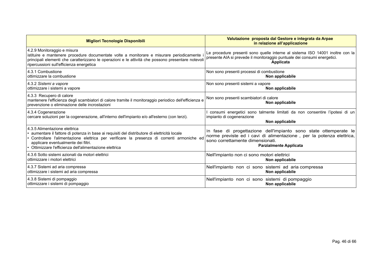| <b>Migliori Tecnologie Disponibili</b>                                                                                                                                                                                                                                                                                          | Valutazione proposta dal Gestore e integrata da Arpae<br>in relazione all'applicazione                                                                                                                        |
|---------------------------------------------------------------------------------------------------------------------------------------------------------------------------------------------------------------------------------------------------------------------------------------------------------------------------------|---------------------------------------------------------------------------------------------------------------------------------------------------------------------------------------------------------------|
| 4.2.9 Monitoraggio e misura<br>istituire e mantenere procedure documentate volte a monitorare e misurare periodicamente<br>principali elementi che caratterizzano le operazioni e le attività che possono presentare notevoli<br>ripercussioni sull'efficienza energetica                                                       | Le procedure presenti sono quelle interne al sistema ISO 14001 inoltre con la<br>presente AIA si prevede il monitoraggio puntuale dei consumi energetici.<br>Applicata                                        |
| 4.3.1 Combustione                                                                                                                                                                                                                                                                                                               | Non sono presenti processi di combustione                                                                                                                                                                     |
| ottimizzare la combustione                                                                                                                                                                                                                                                                                                      | Non applicabile                                                                                                                                                                                               |
| 4.3.2 Sistemi a vapore                                                                                                                                                                                                                                                                                                          | Non sono presenti sistemi a vapore                                                                                                                                                                            |
| ottimizzare i sistemi a vapore                                                                                                                                                                                                                                                                                                  | Non applicabile                                                                                                                                                                                               |
| 4.3.3 Recupero di calore<br>mantenere l'efficienza degli scambiatori di calore tramite il monitoraggio periodico dell'efficienza e<br>prevenzione o eliminazione delle incrostazioni                                                                                                                                            | Non sono presenti scambiatori di calore<br>Non applicabile                                                                                                                                                    |
| 4.3.4 Cogenerazione<br>cercare soluzioni per la cogenerazione, all'interno dell'impianto e/o all'esterno (con terzi).                                                                                                                                                                                                           | consumi energetici sono talmente limitati da non consentire l'ipotesi di un<br>impianto di cogenerazione<br>Non applicabile                                                                                   |
| 4.3.5 Alimentazione elettrica<br>· aumentare il fattore di potenza in base ai requisiti del distributore di elettricità locale<br>· Controllare l'alimentazione elettrica per verificare la presenza di correnti armoniche ed<br>applicare eventualmente dei filtri.<br>• Ottimizzare l'efficienza dell'alimentazione elettrica | In fase di progettazione dell'impianto sono state ottemperate le<br>norme previste ed i cavi di alimentazione, per la potenza elettrica,<br>sono correttamente dimensionati.<br><b>Parzialmente Applicata</b> |
| 4.3.6 Sotto sistemi azionati da motori elettrici                                                                                                                                                                                                                                                                                | Nell'impianto non ci sono motori elettrici                                                                                                                                                                    |
| ottimizzare i motori elettrici                                                                                                                                                                                                                                                                                                  | Non applicabile                                                                                                                                                                                               |
| 4.3.7 Sistemi ad aria compressa                                                                                                                                                                                                                                                                                                 | Nell'impianto non ci sono sistemi ad aria compressa                                                                                                                                                           |
| ottimizzare i sistemi ad aria compressa                                                                                                                                                                                                                                                                                         | Non applicabile                                                                                                                                                                                               |
| 4.3.8 Sistemi di pompaggio                                                                                                                                                                                                                                                                                                      | Nell'impianto non ci sono sistemi di pompaggio                                                                                                                                                                |
| ottimizzare i sistemi di pompaggio                                                                                                                                                                                                                                                                                              | Non applicabile                                                                                                                                                                                               |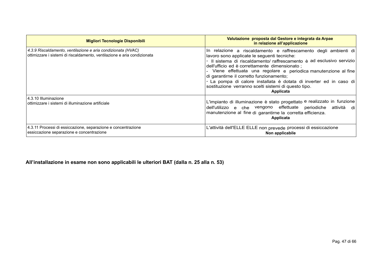| <b>Migliori Tecnologie Disponibili</b>                                                                                                   | Valutazione proposta dal Gestore e integrata da Arpae<br>in relazione all'applicazione                                                                                                                                                                                                                                                                                                                                                                                                         |  |
|------------------------------------------------------------------------------------------------------------------------------------------|------------------------------------------------------------------------------------------------------------------------------------------------------------------------------------------------------------------------------------------------------------------------------------------------------------------------------------------------------------------------------------------------------------------------------------------------------------------------------------------------|--|
| 4.3.9 Riscaldamento, ventilazione e aria condizionata (HVAC)<br>ottimizzare i sistemi di riscaldamento, ventilazione e aria condizionata | In relazione a riscaldamento e raffrescamento degli ambienti di<br>lavoro sono applicate le seguenti tecniche:<br>Il sistema di riscaldamento/raffrescamento è ad esclusivo servizio<br>dell'ufficio ed è correttamente dimensionato;<br>Viene effettuata una regolare e periodica manutenzione al fine<br>di garantirne il corretto funzionamento;<br>- La pompa di calore installata è dotata di inverter ed in caso di<br>sostituzione verranno scelti sistemi di questo tipo.<br>Applicata |  |
| 4.3.10 Illuminazione<br>ottimizzare i sistemi di illuminazione artificiale                                                               | L'impianto di illuminazione è stato progettato e realizzato in funzione<br>dell'utilizzo e che vengono effettuate periodiche attività di<br>manutenzione al fine di garantirne la corretta efficienza.<br>Applicata                                                                                                                                                                                                                                                                            |  |
| 4.3.11 Processi di essiccazione, separazione e concentrazione<br>essiccazione separazione e concentrazione                               | L'attività dell'ELLE ELLE non prevede processi di essiccazione<br>Non applicabile                                                                                                                                                                                                                                                                                                                                                                                                              |  |

**All'installazione in esame non sono applicabili le ulteriori BAT (dalla n. 25 alla n. 53)**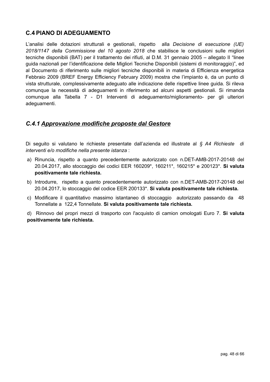### <span id="page-47-1"></span>**C.4 PIANO DI ADEGUAMENTO**

L'analisi delle dotazioni strutturali e gestionali, rispetto alla *Decisione di esecuzione (UE) 2018/1147 della Commissione del 10 agosto 2018* che stabilisce le conclusioni sulle migliori tecniche disponibili (BAT) per il trattamento dei rifiuti, al D.M. 31 gennaio 2005 – allegato II "linee guida nazionali per l'identificazione delle Migliori Tecniche Disponibili (sistemi di monitoraggio)", ed al Documento di riferimento sulle migliori tecniche disponibili in materia di Efficienza energetica Febbraio 2009 (BREF Energy Efficiency February 2009) mostra che l'impianto è, da un punto di vista strutturale, complessivamente adeguato alle indicazione delle rispettive linee guida. Si rileva comunque la necessità di adeguamenti in riferimento ad alcuni aspetti gestionali. Si rimanda comunque alla Tabella 7 - D1 Interventi di adeguamento/miglioramento- per gli ulteriori adeguamenti.

#### <span id="page-47-0"></span>*C.4.1 Approvazione modifiche proposte dal Gestore*

Di seguito si valutano le richieste presentate dall'azienda ed illustrate al *§ A4 Richieste di interventi e/o modifiche nella presente istanza* :

- a) Rinuncia, rispetto a quanto precedentemente autorizzato con n.DET-AMB-2017-20148 del 20.04.2017, allo stoccaggio dei codici EER 160209\*, 160211\*, 160215\* e 200123\*. **Si valuta positivamente tale richiesta.**
- b) Introdurre, rispetto a quanto precedentemente autorizzato con n.DET-AMB-2017-20148 del 20.04.2017, lo stoccaggio del codice EER 200133\*. **Si valuta positivamente tale richiesta.**
- c) Modificare il quantitativo massimo istantaneo di stoccaggio autorizzato passando da 48 Tonnellate a 122,4 Tonnellate. **Si valuta positivamente tale richiesta.**

d) Rinnovo del propri mezzi di trasporto con l'acquisto di camion omologati Euro 7. **Si valuta positivamente tale richiesta.**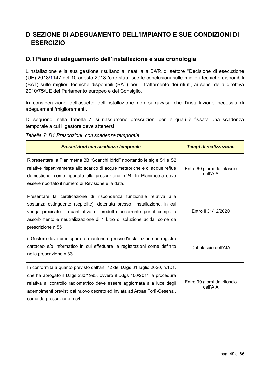## <span id="page-48-1"></span>**D SEZIONE DI ADEGUAMENTO DELL'IMPIANTO E SUE CONDIZIONI DI ESERCIZIO**

### <span id="page-48-0"></span>**D.1 Piano di adeguamento dell'installazione e sua cronologia**

L'installazione e la sua gestione risultano allineati alla BATc di settore "[Decisione di esecuzione](http://eur-lex.europa.eu/legal-content/IT/TXT/PDF/?uri=CELEX:32017D0302&from=IT) [\(UE\) 2018/11](http://eur-lex.europa.eu/legal-content/IT/TXT/PDF/?uri=CELEX:32017D0302&from=IT)47 del 10 agosto 2018 "che stabilisce le conclusioni sulle migliori tecniche disponibili (BAT) sulle migliori tecniche disponibili (BAT) per il trattamento dei rifiuti, ai sensi della direttiva 2010/75/UE del Parlamento europeo e del Consiglio.

In considerazione dell'assetto dell'installazione non si ravvisa che l'installazione necessiti di adeguamenti/miglioramenti.

Di seguono, nella Tabella 7, si riassumono prescrizioni per le quali è fissata una scadenza temporale a cui il gestore deve attenersi:

*Tabella 7: D1 Prescrizioni con scadenza temporale*

| Prescrizioni con scadenza temporale                                                                                                                                                                                                                                                                                                              | Tempi di realizzazione                   |
|--------------------------------------------------------------------------------------------------------------------------------------------------------------------------------------------------------------------------------------------------------------------------------------------------------------------------------------------------|------------------------------------------|
| Ripresentare la Planimetria 3B "Scarichi Idrici" riportando le sigle S1 e S2<br>relative rispettivamente allo scarico di acque meteoriche e di acque reflue<br>domestiche, come riportato alla prescrizione n.24. In Planimetria deve<br>essere riportato il numero di Revisione e la data.                                                      | Entro 60 giorni dal rilascio<br>dell'AIA |
| Presentare la certificazione di rispondenza funzionale relativa alla<br>sostanza estinguente (sepiolite), detenuta presso l'installazione, in cui<br>venga precisato il quantitativo di prodotto occorrente per il completo<br>assorbimento e neutralizzazione di 1 Litro di soluzione acida, come da<br>prescrizione n.55                       | Entro il 31/12/2020                      |
| il Gestore deve predisporre e mantenere presso l'installazione un registro<br>cartaceo e/o informatico in cui effettuare le registrazioni come definito<br>nella prescrizione n.33                                                                                                                                                               | Dal rilascio dell'AIA                    |
| In conformità a quanto previsto dall'art. 72 del D.lgs 31 luglio 2020, n.101,<br>che ha abrogato il D.lgs 230/1995, ovvero il D.lgs 100/2011 la procedura<br>relativa al controllo radiometrico deve essere aggiornata alla luce degli<br>adempimenti previsti dal nuovo decreto ed inviata ad Arpae Forlì-Cesena,<br>come da prescrizione n.54. | Entro 90 giorni dal rilascio<br>dell'AIA |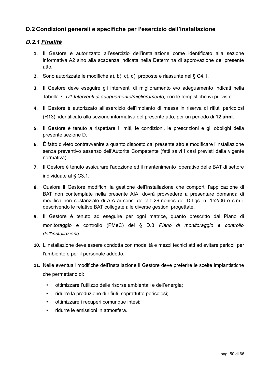### <span id="page-49-1"></span>**D.2 Condizioni generali e specifiche per l'esercizio dell'installazione**

### *D.2.1 Finalità*

- <span id="page-49-0"></span>**1.** Il Gestore è autorizzato all'esercizio dell'installazione come identificato alla sezione informativa A2 sino alla scadenza indicata nella Determina di approvazione del presente atto.
- **2.** Sono autorizzate le modifiche a), b), c), d) proposte e riassunte nel § C4.1.
- **3.** Il Gestore deve eseguire gli interventi di miglioramento e/o adeguamento indicati nella Tabella 7 *-D1 Interventi di adeguamento/miglioramento,* con le tempistiche ivi previste.
- **4.** Il Gestore è autorizzato all'esercizio dell'impianto di messa in riserva di rifiuti pericolosi (R13), identificato alla sezione informativa del presente atto, per un periodo di **12 anni.**
- **5.** Il Gestore è tenuto a rispettare i limiti, le condizioni, le prescrizioni e gli obblighi della presente sezione D.
- **6.** È fatto divieto contravvenire a quanto disposto dal presente atto e modificare l'installazione senza preventivo assenso dell'Autorità Competente (fatti salvi i casi previsti dalla vigente normativa).
- **7.** Il Gestore è tenuto assicurare l'adozione ed il mantenimento operativo delle BAT di settore individuate al § C3.1.
- **8.** Qualora il Gestore modifichi la gestione dell'installazione che comporti l'applicazione di BAT non contemplate nella presente AIA, dovrà provvedere a presentare domanda di modifica non sostanziale di AIA ai sensi dell'art 29-nonies del D.Lgs. n. 152/06 e s.m.i. descrivendo le relative BAT collegate alle diverse gestioni progettate.
- **9.** Il Gestore è tenuto ad eseguire per ogni matrice, quanto prescritto dal Piano di monitoraggio e controllo (PMeC) del § D.3 *Piano di monitoraggio e controllo dell'installazione*
- **10.** L'installazione deve essere condotta con modalità e mezzi tecnici atti ad evitare pericoli per l'ambiente e per il personale addetto.
- **11.** Nelle eventuali modifiche dell'installazione il Gestore deve preferire le scelte impiantistiche che permettano di:
	- ottimizzare l'utilizzo delle risorse ambientali e dell'energia;
	- ridurre la produzione di rifiuti, soprattutto pericolosi;
	- ottimizzare i recuperi comunque intesi;
	- ridurre le emissioni in atmosfera.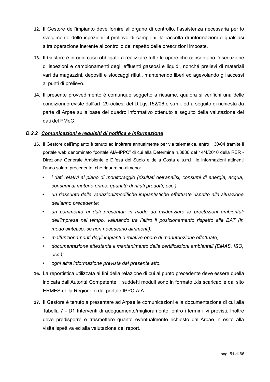- **12.** Il Gestore dell'impianto deve fornire all'organo di controllo, l'assistenza necessaria per lo svolgimento delle ispezioni, il prelievo di campioni, la raccolta di informazioni e qualsiasi altra operazione inerente al controllo del rispetto delle prescrizioni imposte.
- **13.** Il Gestore è in ogni caso obbligato a realizzare tutte le opere che consentano l'esecuzione di ispezioni e campionamenti degli effluenti gassosi e liquidi, nonché prelievi di materiali vari da magazzini, depositi e stoccaggi rifiuti, mantenendo liberi ed agevolando gli accessi ai punti di prelievo.
- **14.** Il presente provvedimento è comunque soggetto a riesame, qualora si verifichi una delle condizioni previste dall'art. 29-octies, del D.Lgs.152/06 e s.m.i. ed a seguito di richiesta da parte di Arpae sulla base del quadro informativo ottenuto a seguito della valutazione dei dati del PMeC.

#### *D.2.2 Comunicazioni e requisiti di notifica e informazione*

- <span id="page-50-0"></span>**15.** Il Gestore dell'impianto è tenuto ad inoltrare annualmente per via telematica, entro il 30/04 tramite il portale web denominato "portale AIA-IPPC" di cui alla Determina n.3836 del 14/4/2010 della RER - Direzione Generale Ambiente e Difesa del Suolo e della Costa e s.m.i., le informazioni attinenti l'anno solare precedente, che riguardino almeno:
	- *i dati relativi al piano di monitoraggio (risultati dell'analisi, consumi di energia, acqua, consumi di materie prime, quantità di rifiuti prodotti, ecc.);*
	- *un riassunto delle variazioni/modifiche impiantistiche effettuate rispetto alla situazione dell'anno precedente;*
	- *un commento ai dati presentati in modo da evidenziare le prestazioni ambientali dell'impresa nel tempo, valutando tra l'altro il posizionamento rispetto alle BAT (in modo sintetico, se non necessario altrimenti);*
	- *malfunzionamenti degli impianti e relative opere di manutenzione effettuate;*
	- *documentazione attestante il mantenimento delle certificazioni ambientali (EMAS, ISO, ecc.);*
	- *ogni altra informazione prevista dal presente atto.*
- **16.** La reportistica utilizzata ai fini della relazione di cui al punto precedente deve essere quella indicata dall'Autorità Competente. I suddetti moduli sono in formato .xls scaricabile dal sito ERMES della Regione o dal portale IPPC-AIA.
- **17.** Il Gestore è tenuto a presentare ad Arpae le comunicazioni e la documentazione di cui alla Tabella 7 - D1 Interventi di adeguamento/miglioramento, entro i termini ivi previsti. Inoltre deve predisporre e trasmettere quanto eventualmente richiesto dall'Arpae in esito alla visita ispettiva ed alla valutazione dei report.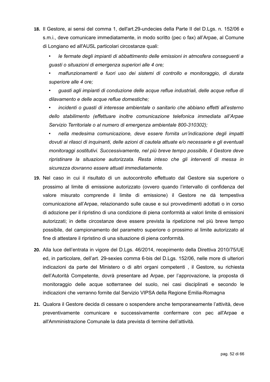- **18.** Il Gestore, ai sensi del comma 1, dell'art.29-undecies della Parte II del D.Lgs. n. 152/06 e s.m.i., deve comunicare immediatamente, in modo scritto (pec o fax) all'Arpae, al Comune di Longiano ed all'AUSL particolari circostanze quali:
	- *le fermate degli impianti di abbattimento delle emissioni in atmosfera conseguenti a guasti o situazioni di emergenza superiori alle 4 ore;*
	- *malfunzionamenti e fuori uso dei sistemi di controllo e monitoraggio, di durata superiore alle 4 ore;*
	- *guasti agli impianti di conduzione delle acque reflue industriali, delle acque reflue di dilavamento e delle acque reflue domestiche;*
	- *incidenti o guasti di interesse ambientale o sanitario che abbiano effetti all'esterno dello stabilimento (effettuare inoltre comunicazione telefonica immediata all'Arpae Servizio Territoriale o al numero di emergenza ambientale 800-310302);*
	- *nella medesima comunicazione, deve essere fornita un'indicazione degli impatti dovuti ai rilasci di inquinanti, delle azioni di cautela attuate e/o necessarie e gli eventuali monitoraggi sostitutivi. Successivamente, nel più breve tempo possibile, il Gestore deve ripristinare la situazione autorizzata. Resta inteso che gli interventi di messa in sicurezza dovranno essere attuati immediatamente.*
- **19.** Nel caso in cui il risultato di un autocontrollo effettuato dal Gestore sia superiore o prossimo al limite di emissione autorizzato (ovvero quando l'intervallo di confidenza del valore misurato comprende il limite di emissione) il Gestore ne dà tempestiva comunicazione all'Arpae, relazionando sulle cause e sui provvedimenti adottati o in corso di adozione per il ripristino di una condizione di piena conformità ai valori limite di emissioni autorizzati; in dette circostanze deve essere prevista la ripetizione nel più breve tempo possibile, del campionamento del parametro superiore o prossimo al limite autorizzato al fine di attestare il ripristino di una situazione di piena conformità.
- **20.** Alla luce dell'entrata in vigore del D.Lgs. 46/2014, recepimento della Direttiva 2010/75/UE ed, in particolare, dell'art. 29-sexies comma 6-bis del D.Lgs. 152/06, nelle more di ulteriori indicazioni da parte del Ministero o di altri organi competenti , il Gestore, su richiesta dell'Autorità Competente, dovrà presentare ad Arpae, per l'approvazione, la proposta di monitoraggio delle acque sotterranee del suolo, nei casi disciplinati e secondo le indicazioni che verranno fornite dal Servizio VIPSA della Regione Emilia-Romagna
- **21.** Qualora il Gestore decida di cessare o sospendere anche temporaneamente l'attività, deve preventivamente comunicare e successivamente confermare con pec all'Arpae e all'Amministrazione Comunale la data prevista di termine dell'attività.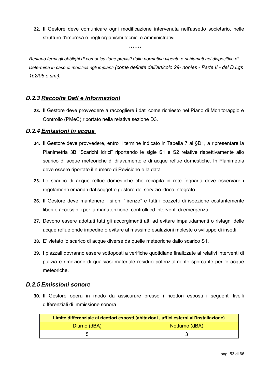**22.** Il Gestore deve comunicare ogni modificazione intervenuta nell'assetto societario, nelle strutture d'impresa e negli organismi tecnici e amministrativi.

*Restano fermi gli obblighi di comunicazione previsti dalla normativa vigente e richiamati nel dispositivo di Determina in caso di modifica agli impianti (come definite dall'articolo 29- nonies - Parte II - del D.Lgs 152/06 e smi).*

*\*\*\*\*\*\*\**

### *D.2.3 Raccolta Dati e informazioni*

<span id="page-52-2"></span>**23.** Il Gestore deve provvedere a raccogliere i dati come richiesto nel Piano di Monitoraggio e Controllo (PMeC) riportato nella relativa sezione D3.

#### *D.2.4 Emissioni in acqua*

- <span id="page-52-1"></span>**24.** Il Gestore deve provvedere, entro il termine indicato in Tabella 7 al §D1, a ripresentare la Planimetria 3B "Scarichi Idrici" riportando le sigle S1 e S2 relative rispettivamente allo scarico di acque meteoriche di dilavamento e di acque reflue domestiche. In Planimetria deve essere riportato il numero di Revisione e la data.
- **25.** Lo scarico di acque reflue domestiche che recapita in rete fognaria deve osservare i regolamenti emanati dal soggetto gestore del servizio idrico integrato.
- **26.** Il Gestore deve mantenere i sifoni "firenze" e tutti i pozzetti di ispezione costantemente liberi e accessibili per la manutenzione, controlli ed interventi di emergenza.
- **27.** Devono essere adottati tutti gli accorgimenti atti ad evitare impaludamenti o ristagni delle acque reflue onde impedire o evitare al massimo esalazioni moleste o sviluppo di insetti.
- **28.** E' vietato lo scarico di acque diverse da quelle meteoriche dallo scarico S1.
- **29.** I piazzali dovranno essere sottoposti a verifiche quotidiane finalizzate ai relativi interventi di pulizia e rimozione di qualsiasi materiale residuo potenzialmente sporcante per le acque meteoriche.

### *D.2.5 Emissioni sonore*

<span id="page-52-0"></span>**30.** Il Gestore opera in modo da assicurare presso i ricettori esposti i seguenti livelli differenziali di immissione sonora

| Limite differenziale ai ricettori esposti (abitazioni, uffici esterni all'installazione) |                |  |  |  |  |  |
|------------------------------------------------------------------------------------------|----------------|--|--|--|--|--|
| Diurno (dBA)                                                                             | Notturno (dBA) |  |  |  |  |  |
|                                                                                          |                |  |  |  |  |  |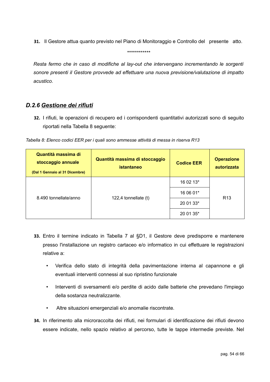**31.** Il Gestore attua quanto previsto nel Piano di Monitoraggio e Controllo del presente atto.

\*\*\*\*\*\*\*\*\*\*\*\*

*Resta fermo che in caso di modifiche al lay-out che intervengano incrementando le sorgenti sonore presenti il Gestore provvede ad effettuare una nuova previsione/valutazione di impatto acustico.*

### *D.2.6 Gestione dei rifiuti*

<span id="page-53-0"></span>**32.** I rifiuti, le operazioni di recupero ed i corrispondenti quantitativi autorizzati sono di seguito riportati nella Tabella 8 seguente:

| Quantità massima di<br>stoccaggio annuale<br>(Dal 1 Gennaio al 31 Dicembre) | Quantità massima di stoccaggio<br>istantaneo | <b>Codice EER</b> | <b>Operazione</b><br>autorizzata |  |
|-----------------------------------------------------------------------------|----------------------------------------------|-------------------|----------------------------------|--|
|                                                                             |                                              | 16 02 13*         |                                  |  |
|                                                                             |                                              | 16 06 01*         |                                  |  |
| 8.490 tonnellate/anno                                                       | 122,4 tonnellate $(t)$                       | 20 01 33*         | R <sub>13</sub>                  |  |
|                                                                             |                                              | 20 01 35*         |                                  |  |

*Tabella 8: Elenco codici EER per i quali sono ammesse attività di messa in riserva R13*

- **33.** Entro il termine indicato in Tabella 7 al §D1, il Gestore deve predisporre e mantenere presso l'installazione un registro cartaceo e/o informatico in cui effettuare le registrazioni relative a:
	- Verifica dello stato di integrità della pavimentazione interna al capannone e gli eventuali interventi connessi al suo ripristino funzionale
	- Interventi di sversamenti e/o perdite di acido dalle batterie che prevedano l'impiego della sostanza neutralizzante.
	- Altre situazioni emergenziali e/o anomalie riscontrate.
- **34.** In riferimento alla microraccolta dei rifiuti, nei formulari di identificazione dei rifiuti devono essere indicate, nello spazio relativo al percorso, tutte le tappe intermedie previste. Nel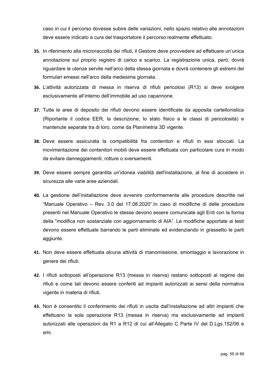caso in cui il percorso dovesse subire delle variazioni, nello spazio relativo alle annotazioni deve essere indicato a cura del trasportatore il percorso realmente effettuato.

- **35.** In riferimento alla microraccolta dei rifiuti, il Gestore deve provvedere ad effettuare un'unica annotazione sul proprio registro di carico e scarico. La registrazione unica, però, dovrà riguardare le utenze servite nell'arco della stessa giornata e dovrà contenere gli estremi dei formulari emessi nell'arco della medesima giornata.
- **36.** L'attività autorizzata di messa in riserva di rifiuti pericolosi (R13) si deve svolgere esclusivamente all'interno dell'immobile ad uso capannone.
- **37.** Tutte le aree di deposito dei rifiuti devono essere identificate da apposita cartellonistica (Riportante il codice EER, la descrizione, lo stato fisico e le classi di pericolosità) e mantenute separate tra di loro, come da Planimetria 3D vigente.
- **38.** Deve essere assicurata la compatibilità fra contenitori e rifiuti in essi stoccati. La movimentazione dei contenitori mobili deve essere effettuata con particolare cura in modo da evitare danneggiamenti, rotture o sversamenti.
- **39.** Deve essere sempre garantita un'idonea viabilità dell'installazione, al fine di accedere in sicurezza alle varie aree aziendali.
- **40.** La gestione dell'installazione deve avvenire conformemente alle procedure descritte nel "Manuale Operativo – Rev. 3.0 del 17.08.2020".In caso di modifiche di delle procedure presenti nel Manuale Operativo le stesse devono essere comunicate agli Enti con la forma della "modifica non sostanziale con aggiornamento di AIA". Le modifiche apportate ai testi devono essere effettuate barrando le parti eliminate ed evidenziando in grassetto le parti aggiunte.
- **41.** Non deve essere effettuata alcuna attività di manomissione, smontaggio e lavorazione in genere dei rifiuti.
- **42.** I rifiuti sottoposti all'operazione R13 (messa in riserva) restano sottoposti al regime dei rifiuti e come tali devono essere conferiti ad impianti autorizzati ai sensi della normativa vigente in materia di rifiuti.
- **43.** Non è consentito il conferimento dei rifiuti in uscita dall'installazione ad altri impianti che effettuano la sola operazione R13 (messa in riserva) ma esclusivamente ad impianti autorizzati alle operazioni da R1 a R12 di cui all'Allegato C Parte IV del D.Lgs.152/06 e smi.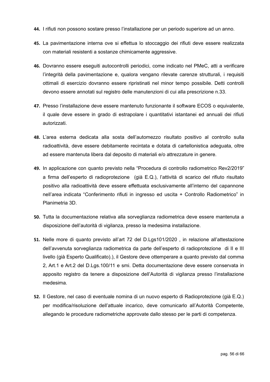- **44.** I rifiuti non possono sostare presso l'installazione per un periodo superiore ad un anno.
- **45.** La pavimentazione interna ove si effettua lo stoccaggio dei rifiuti deve essere realizzata con materiali resistenti a sostanze chimicamente aggressive.
- **46.** Dovranno essere eseguiti autocontrolli periodici, come indicato nel PMeC, atti a verificare l'integrità della pavimentazione e, qualora vengano rilevate carenze strutturali, i requisiti ottimali di esercizio dovranno essere ripristinati nel minor tempo possibile. Detti controlli devono essere annotati sul registro delle manutenzioni di cui alla prescrizione n.33.
- **47.** Presso l'installazione deve essere mantenuto funzionante il software ECOS o equivalente, il quale deve essere in grado di estrapolare i quantitativi istantanei ed annuali dei rifiuti autorizzati.
- **48.** L'area esterna dedicata alla sosta dell'automezzo risultato positivo al controllo sulla radioattività, deve essere debitamente recintata e dotata di cartellonistica adeguata, oltre ad essere mantenuta libera dal deposito di materiali e/o attrezzature in genere.
- **49.** In applicazione con quanto previsto nella "Procedura di controllo radiometrico Rev2/2019" a firma dell'esperto di radioprotezione (già E.Q.), l'attività di scarico del rifiuto risultato positivo alla radioattività deve essere effettuata esclusivamente all'interno del capannone nell'area indicata "Conferimento rifiuti in ingresso ed uscita + Controllo Radiometrico" in Planimetria 3D.
- **50.** Tutta la documentazione relativa alla sorveglianza radiometrica deve essere mantenuta a disposizione dell'autorità di vigilanza, presso la medesima installazione.
- **51.** Nelle more di quanto previsto all'art 72 del D.Lgs101/2020 , in relazione all'attestazione dell'avvenuta sorveglianza radiometrica da parte dell'esperto di radioprotezione di II e III livello (già Esperto Qualificato).), il Gestore deve ottemperare a quanto previsto dal comma 2, Art.1 e Art.2 del D.Lgs.100/11 e smi. Detta documentazione deve essere conservata in apposito registro da tenere a disposizione dell'Autorità di vigilanza presso l'installazione medesima.
- **52.** Il Gestore, nel caso di eventuale nomina di un nuovo esperto di Radioprotezione (già E.Q.) per modifica/risoluzione dell'attuale incarico, deve comunicarlo all'Autorità Competente, allegando le procedure radiometriche approvate dallo stesso per le parti di competenza.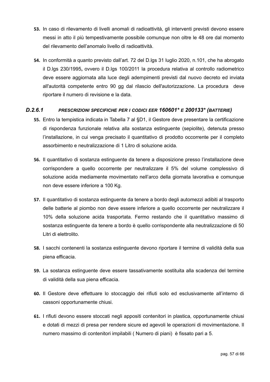- **53.** In caso di rilevamento di livelli anomali di radioattività, gli interventi previsti devono essere messi in atto il più tempestivamente possibile comunque non oltre le 48 ore dal momento del rilevamento dell'anomalo livello di radioattività.
- **54.** In conformità a quanto previsto dall'art. 72 del D.lgs 31 luglio 2020, n.101, che ha abrogato il D.lgs 230/1995**,** ovvero il D.lgs 100/2011 la procedura relativa al controllo radiometrico deve essere aggiornata alla luce degli adempimenti previsti dal nuovo decreto ed inviata all'autorità competente entro 90 gg dal rilascio dell'autorizzazione. La procedura deve riportare il numero di revisione e la data.

#### *D.2.6.1 PRESCRIZIONI SPECIFICHE PER I CODICI EER 160601\* E 200133\* (BATTERIE)*

- <span id="page-56-0"></span>**55.** Entro la tempistica indicata in Tabella 7 al §D1, il Gestore deve presentare la certificazione di rispondenza funzionale relativa alla sostanza estinguente (sepiolite), detenuta presso l'installazione, in cui venga precisato il quantitativo di prodotto occorrente per il completo assorbimento e neutralizzazione di 1 Litro di soluzione acida.
- **56.** Il quantitativo di sostanza estinguente da tenere a disposizione presso l'installazione deve corrispondere a quello occorrente per neutralizzare il 5% del volume complessivo di soluzione acida mediamente movimentato nell'arco della giornata lavorativa e comunque non deve essere inferiore a 100 Kg.
- **57.** Il quantitativo di sostanza estinguente da tenere a bordo degli automezzi adibiti al trasporto delle batterie al piombo non deve essere inferiore a quello occorrente per neutralizzare il 10% della soluzione acida trasportata. Fermo restando che il quantitativo massimo di sostanza estinguente da tenere a bordo è quello corrispondente alla neutralizzazione di 50 Litri di elettrolito.
- **58.** I sacchi contenenti la sostanza estinguente devono riportare il termine di validità della sua piena efficacia.
- **59.** La sostanza estinguente deve essere tassativamente sostituita alla scadenza del termine di validità della sua piena efficacia.
- **60.** Il Gestore deve effettuare lo stoccaggio dei rifiuti solo ed esclusivamente all'interno di cassoni opportunamente chiusi.
- **61.** I rifiuti devono essere stoccati negli appositi contenitori in plastica, opportunamente chiusi e dotati di mezzi di presa per rendere sicure ed agevoli le operazioni di movimentazione. Il numero massimo di contenitori impilabili ( Numero di piani) è fissato pari a 5.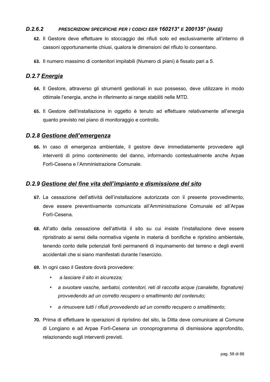#### *D.2.6.2 PRESCRIZIONI SPECIFICHE PER I CODICI EER 160213\* E 200135\* (RAEE)*

- <span id="page-57-3"></span>**62.** Il Gestore deve effettuare lo stoccaggio dei rifiuti solo ed esclusivamente all'interno di cassoni opportunamente chiusi, qualora le dimensioni del rifiuto lo consentano.
- **63.** Il numero massimo di contenitori impilabili (Numero di piani) è fissato pari a 5.

### *D.2.7 Energia*

- <span id="page-57-2"></span>**64.** Il Gestore, attraverso gli strumenti gestionali in suo possesso, deve utilizzare in modo ottimale l'energia, anche in riferimento ai range stabiliti nelle MTD.
- **65.** Il Gestore dell'installazione in oggetto è tenuto ad effettuare relativamente all'energia quanto previsto nel piano di monitoraggio e controllo.

#### *D.2.8 Gestione dell'emergenza*

<span id="page-57-1"></span>**66.** In caso di emergenza ambientale, il gestore deve immediatamente provvedere agli interventi di primo contenimento del danno, informando contestualmente anche Arpae Forlì-Cesena e l'Amministrazione Comunale.

#### <span id="page-57-0"></span>*D.2.9 Gestione del fine vita dell'impianto e dismissione del sito*

- **67.** La cessazione dell'attività dell'installazione autorizzata con il presente provvedimento, deve essere preventivamente comunicata all'Amministrazione Comunale ed all'Arpae Forlì-Cesena.
- **68.** All'atto della cessazione dell'attività il sito su cui insiste l'installazione deve essere ripristinato ai sensi della normativa vigente in materia di bonifiche e ripristino ambientale, tenendo conto delle potenziali fonti permanenti di inquinamento del terreno e degli eventi accidentali che si siano manifestati durante l'esercizio.
- **69.** In ogni caso il Gestore dovrà provvedere:
	- *a lasciare il sito in sicurezza;*
	- *a svuotare vasche, serbatoi, contenitori, reti di raccolta acque (canalette, fognature) provvedendo ad un corretto recupero o smaltimento del contenuto;*
	- *a rimuovere tutti i rifiuti provvedendo ad un corretto recupero o smaltimento;*
- **70.** Prima di effettuare le operazioni di ripristino del sito, la Ditta deve comunicare al Comune di Longiano e ad Arpae Forlì-Cesena un cronoprogramma di dismissione approfondito, relazionando sugli interventi previsti.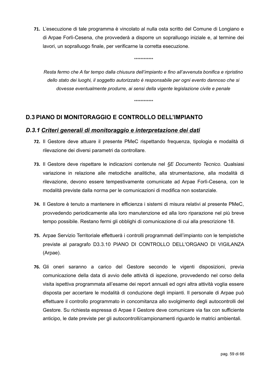**71.** L'esecuzione di tale programma è vincolato al nulla osta scritto del Comune di Longiano e di Arpae Forlì-Cesena, che provvederà a disporre un sopralluogo iniziale e, al termine dei lavori, un sopralluogo finale, per verificarne la corretta esecuzione.

*Resta fermo che A far tempo dalla chiusura dell'impianto e fino all'avvenuta bonifica e ripristino dello stato dei luoghi, il soggetto autorizzato è responsabile per ogni evento dannoso che si dovesse eventualmente produrre, ai sensi della vigente legislazione civile e penale*

*\*\*\*\*\*\*\*\*\*\*\*\**

*\*\*\*\*\*\*\*\*\*\*\*\**

## <span id="page-58-1"></span>**D.3 PIANO DI MONITORAGGIO E CONTROLLO DELL'IMPIANTO**

### *D.3.1 Criteri generali di monitoraggio e interpretazione dei dati*

- <span id="page-58-0"></span>**72.** Il Gestore deve attuare il presente PMeC rispettando frequenza, tipologia e modalità di rilevazione dei diversi parametri da controllare.
- **73.** Il Gestore deve rispettare le indicazioni contenute nel *§E Documento Tecnico.* Qualsiasi variazione in relazione alle metodiche analitiche, alla strumentazione, alla modalità di rilevazione, devono essere tempestivamente comunicate ad Arpae Forlì-Cesena, con le modalità previste dalla norma per le comunicazioni di modifica non sostanziale.
- **74.** Il Gestore è tenuto a mantenere in efficienza i sistemi di misura relativi al presente PMeC, provvedendo periodicamente alla loro manutenzione ed alla loro riparazione nel più breve tempo possibile. Restano fermi gli obblighi di comunicazione di cui alla prescrizione 18.
- **75.** Arpae Servizio Territoriale effettuerà i controlli programmati dell'impianto con le tempistiche previste al paragrafo D3.3.10 PIANO DI CONTROLLO DELL'ORGANO DI VIGILANZA (Arpae).
- **76.** Gli oneri saranno a carico del Gestore secondo le vigenti disposizioni, previa comunicazione della data di avvio delle attività di ispezione, provvedendo nel corso della visita ispettiva programmata all'esame dei report annuali ed ogni altra attività voglia essere disposta per accertare le modalità di conduzione degli impianti. Il personale di Arpae può effettuare il controllo programmato in concomitanza allo svolgimento degli autocontrolli del Gestore. Su richiesta espressa di Arpae il Gestore deve comunicare via fax con sufficiente anticipo, le date previste per gli autocontrolli/campionamenti riguardo le matrici ambientali.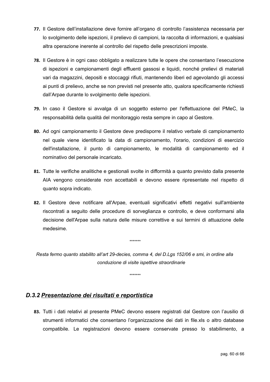- **77.** Il Gestore dell'installazione deve fornire all'organo di controllo l'assistenza necessaria per lo svolgimento delle ispezioni, il prelievo di campioni, la raccolta di informazioni, e qualsiasi altra operazione inerente al controllo del rispetto delle prescrizioni imposte.
- **78.** Il Gestore è in ogni caso obbligato a realizzare tutte le opere che consentano l'esecuzione di ispezioni e campionamenti degli effluenti gassosi e liquidi, nonché prelievi di materiali vari da magazzini, depositi e stoccaggi rifiuti, mantenendo liberi ed agevolando gli accessi ai punti di prelievo, anche se non previsti nel presente atto, qualora specificamente richiesti dall'Arpae durante lo svolgimento delle ispezioni.
- **79.** In caso il Gestore si avvalga di un soggetto esterno per l'effettuazione del PMeC, la responsabilità della qualità del monitoraggio resta sempre in capo al Gestore.
- **80.** Ad ogni campionamento il Gestore deve predisporre il relativo verbale di campionamento nel quale viene identificato la data di campionamento, l'orario, condizioni di esercizio dell'installazione, il punto di campionamento, le modalità di campionamento ed il nominativo del personale incaricato.
- **81.** Tutte le verifiche analitiche e gestionali svolte in difformità a quanto previsto dalla presente AIA vengono considerate non accettabili e devono essere ripresentate nel rispetto di quanto sopra indicato.
- **82.** Il Gestore deve notificare all'Arpae, eventuali significativi effetti negativi sull'ambiente riscontrati a seguito delle procedure di sorveglianza e controllo, e deve conformarsi alla decisione dell'Arpae sulla natura delle misure correttive e sui termini di attuazione delle medesime.

*Resta fermo quanto stabilito all'art 29-decies, comma 4, del D.Lgs 152/06 e smi, in ordine alla conduzione di visite ispettive straordinarie*

*\*\*\*\*\*\*\**

*\*\*\*\*\*\*\**

#### <span id="page-59-0"></span>*D.3.2 Presentazione dei risultati e reportistica*

**83.** Tutti i dati relativi al presente PMeC devono essere registrati dal Gestore con l'ausilio di strumenti informatici che consentano l'organizzazione dei dati in file.xls o altro database compatibile. Le registrazioni devono essere conservate presso lo stabilimento, a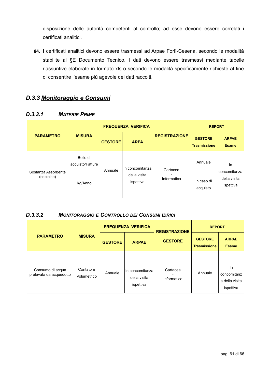disposizione delle autorità competenti al controllo; ad esse devono essere correlati i certificati analitici.

**84.** I certificati analitici devono essere trasmessi ad Arpae Forlì-Cesena, secondo le modalità stabilite al §E Documento Tecnico. I dati devono essere trasmessi mediante tabelle riassuntive elaborate in formato xls o secondo le modalità specificamente richieste al fine di consentire l'esame più agevole dei dati raccolti.

## <span id="page-60-2"></span>*D.3.3 Monitoraggio e Consumi*

|                                    |                                         |                | <b>FREQUENZA VERIFICA</b>                    |                         | <b>REPORT</b>                         |                                                  |
|------------------------------------|-----------------------------------------|----------------|----------------------------------------------|-------------------------|---------------------------------------|--------------------------------------------------|
| <b>PARAMETRO</b>                   | <b>MISURA</b>                           | <b>GESTORE</b> | <b>ARPA</b>                                  | <b>REGISTRAZIONE</b>    | <b>GESTORE</b><br><b>Trasmissione</b> | <b>ARPAE</b><br><b>Esame</b>                     |
| Sostanza Assorbente<br>(sepiolite) | Bolle di<br>acquisto/Fatture<br>Kg/Anno | Annuale        | In concomitanza<br>della visita<br>ispettiva | Cartacea<br>Informatica | Annuale<br>In caso di<br>acquisto     | ln.<br>concomitanza<br>della visita<br>ispettiva |

### <span id="page-60-1"></span>*D.3.3.1 MATERIE PRIME*

### <span id="page-60-0"></span>*D.3.3.2 MONITORAGGIO E CONTROLLO DEI CONSUMI IDRICI*

| <b>PARAMETRO</b>                            |                          | <b>FREQUENZA VERIFICA</b> |                                              | <b>REGISTRAZIONE</b>    | <b>REPORT</b>                         |                                                  |
|---------------------------------------------|--------------------------|---------------------------|----------------------------------------------|-------------------------|---------------------------------------|--------------------------------------------------|
|                                             | <b>MISURA</b>            | <b>GESTORE</b>            | <b>ARPAE</b>                                 | <b>GESTORE</b>          | <b>GESTORE</b><br><b>Trasmissione</b> | <b>ARPAE</b><br><b>Esame</b>                     |
| Consumo di acqua<br>prelevata da acquedotto | Contatore<br>Volumetrico | Annuale                   | In concomitanza<br>della visita<br>ispettiva | Cartacea<br>Informatica | Annuale                               | In<br>concomitanz<br>a della visita<br>ispettiva |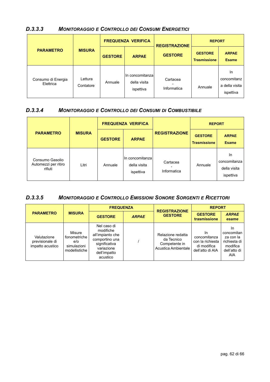<span id="page-61-1"></span>

| <b>MONITORAGGIO E CONTROLLO DEI CONSUMI ENERGETICI</b><br>D.3.3.3 |  |
|-------------------------------------------------------------------|--|
|-------------------------------------------------------------------|--|

|                                 |                      |                | <b>FREQUENZA VERIFICA</b>                    | <b>REGISTRAZIONE</b>    | <b>REPORT</b>                         |                                                  |
|---------------------------------|----------------------|----------------|----------------------------------------------|-------------------------|---------------------------------------|--------------------------------------------------|
| <b>PARAMETRO</b>                | <b>MISURA</b>        | <b>GESTORE</b> | <b>ARPAE</b>                                 | <b>GESTORE</b>          | <b>GESTORE</b><br><b>Trasmissione</b> | <b>ARPAE</b><br><b>Esame</b>                     |
| Consumo di Energia<br>Elettrica | Lettura<br>Contatore | Annuale        | In concomitanza<br>della visita<br>ispettiva | Cartacea<br>Informatica | Annuale                               | In<br>concomitanz<br>a della visita<br>ispettiva |

#### <span id="page-61-0"></span>*D.3.3.4 MONITORAGGIO E CONTROLLO DEI CONSUMI DI COMBUSTIBILE*

|                                                    |               | <b>FREQUENZA VERIFICA</b> |                                              |                         | <b>REPORT</b>                         |                                                        |
|----------------------------------------------------|---------------|---------------------------|----------------------------------------------|-------------------------|---------------------------------------|--------------------------------------------------------|
| <b>PARAMETRO</b>                                   | <b>MISURA</b> | <b>GESTORE</b>            | <b>ARPAE</b>                                 | <b>REGISTRAZIONE</b>    | <b>GESTORE</b><br><b>Trasmissione</b> | <b>ARPAE</b><br><b>Esame</b>                           |
| Consumo Gasolio<br>Automezzi per ritiro<br>rifiuti | Litri         | Annuale                   | In concomitanza<br>della visita<br>ispettiva | Cartacea<br>Informatica | Annuale                               | <b>In</b><br>concomitanza<br>della visita<br>ispettiva |

## <span id="page-61-2"></span>*D.3.3.5 MONITORAGGIO E CONTROLLO EMISSIONI SONORE SORGENTI E RICETTORI*

|                                                    |                                                                  |                                                                                                                           | <b>FREQUENZA</b> |                                                                         | <b>REPORT</b>                                                                                               |                                                                                  |
|----------------------------------------------------|------------------------------------------------------------------|---------------------------------------------------------------------------------------------------------------------------|------------------|-------------------------------------------------------------------------|-------------------------------------------------------------------------------------------------------------|----------------------------------------------------------------------------------|
| <b>PARAMETRO</b>                                   | <b>MISURA</b>                                                    | <b>GESTORE</b>                                                                                                            | <b>ARPAE</b>     | <b>REGISTRAZIONE</b><br><b>GESTORE</b>                                  | <b>GESTORE</b><br>trasmissione<br>In<br>concomitanza<br>con la richiesta<br>di modifica<br>dell'atto di AIA | <b>ARPAE</b><br>esame                                                            |
| Valutazione<br>previsionale di<br>impatto acustico | Misure<br>fonometriche<br>$e$ /0<br>simulazioni<br>modellistiche | Nel caso di<br>modifiche<br>all'impianto che<br>comportino una<br>significativa<br>variazione<br>dell'impatto<br>acustico |                  | Relazione redatta<br>da Tecnico<br>Competente in<br>Acustica Ambientale |                                                                                                             | In<br>concomitan<br>za con la<br>richiesta di<br>modifica<br>dell'atto di<br>AIA |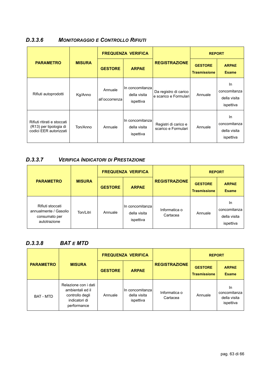### <span id="page-62-2"></span>*D.3.3.6 MONITORAGGIO E CONTROLLO RIFIUTI*

| <b>PARAMETRO</b>                                                                | <b>MISURA</b> | <b>FREQUENZA VERIFICA</b> |                                              |                                                | <b>REPORT</b>                         |                                                  |
|---------------------------------------------------------------------------------|---------------|---------------------------|----------------------------------------------|------------------------------------------------|---------------------------------------|--------------------------------------------------|
|                                                                                 |               | <b>GESTORE</b>            | <b>ARPAE</b>                                 | <b>REGISTRAZIONE</b>                           | <b>GESTORE</b><br><b>Trasmissione</b> | <b>ARPAE</b><br><b>Esame</b>                     |
| Rifiuti autoprodotti                                                            | Kg/Anno       | Annuale<br>all'occorrenza | In concomitanza<br>della visita<br>ispettiva | Da registro di carico<br>e scarico e Formulari | Annuale                               | In.<br>concomitanza<br>della visita<br>ispettiva |
| Rifiuti ritirati e stoccati<br>(R13) per tipologia di<br>codici EER autorizzati | Ton/Anno      | Annuale                   | In concomitanza<br>della visita<br>ispettiva | Registri di carico e<br>scarico e Formulari    | Annuale                               | In.<br>concomitanza<br>della visita<br>ispettiva |

### <span id="page-62-1"></span>*D.3.3.7 VERIFICA INDICATORI DI PRESTAZIONE*

| <b>PARAMETRO</b>                                                           |               | <b>FREQUENZA VERIFICA</b> |                                               |                           | <b>REPORT</b>                         |                                                  |
|----------------------------------------------------------------------------|---------------|---------------------------|-----------------------------------------------|---------------------------|---------------------------------------|--------------------------------------------------|
|                                                                            | <b>MISURA</b> | <b>GESTORE</b>            | <b>ARPAE</b>                                  | <b>REGISTRAZIONE</b>      | <b>GESTORE</b><br><b>Trasmissione</b> | <b>ARPAE</b><br><b>Esame</b>                     |
| Rifiuti stoccati<br>annualmente / Gasolio<br>consumato per<br>autotrazione | Ton/Litri     | Annuale                   | In concomitanzal<br>della visita<br>ispettiva | Informatica o<br>Cartacea | Annuale                               | In.<br>concomitanza<br>della visita<br>ispettiva |

### <span id="page-62-0"></span>*D.3.3.8 BAT E MTD*

| <b>PARAMETRO</b> |                                                                                             | <b>FREQUENZA VERIFICA</b> |                                                |                           | <b>REPORT</b>                         |                                                 |
|------------------|---------------------------------------------------------------------------------------------|---------------------------|------------------------------------------------|---------------------------|---------------------------------------|-------------------------------------------------|
|                  | <b>MISURA</b>                                                                               | <b>GESTORE</b>            | <b>ARPAE</b>                                   | <b>REGISTRAZIONE</b>      | <b>GESTORE</b><br><b>Trasmissione</b> | <b>ARPAE</b><br><b>Esame</b>                    |
| <b>BAT - MTD</b> | Relazione con i dati<br>ambientali ed il<br>controllo degli<br>indicatori di<br>performance | Annuale                   | ∣In concomitanzaI<br>della visita<br>ispettiva | Informatica o<br>Cartacea | Annuale                               | In<br>concomitanza<br>della visita<br>ispettiva |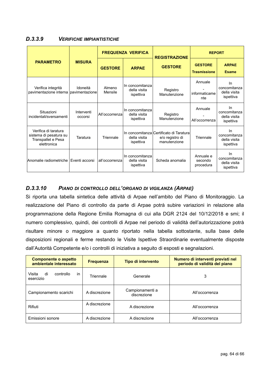#### <span id="page-63-1"></span>*D.3.3.9 VERIFICHE IMPIANTISTICHE*

|                                                                                     |                       |                   | <b>FREQUENZA VERIFICA</b>                    | <b>REGISTRAZIONE</b>                                                        | <b>REPORT</b>                         |                                                  |
|-------------------------------------------------------------------------------------|-----------------------|-------------------|----------------------------------------------|-----------------------------------------------------------------------------|---------------------------------------|--------------------------------------------------|
| <b>PARAMETRO</b>                                                                    | <b>MISURA</b>         | <b>GESTORE</b>    | <b>ARPAE</b>                                 | <b>GESTORE</b>                                                              | <b>GESTORE</b><br><b>Trasmissione</b> | <b>ARPAE</b><br><b>Esame</b>                     |
| Verifica integrità<br>pavimentazione interna pavimentazione                         | Idoneità              | Almeno<br>Mensile | In concomitanza<br>della visita<br>ispettiva | Registro<br>Manutenzione                                                    | Annuale<br>informaticame<br>nte       | In<br>concomitanza<br>della visita<br>ispettiva  |
| Situazioni<br>incidentali/sversamenti                                               | Interventi<br>occorsi | All'occorrenza    | In concomitanza<br>della visita<br>ispettiva | Registro<br>Manutenzione                                                    | Annuale<br>All'occorrenza             | In<br>concomitanza<br>della visita<br>ispettiva  |
| Verifica di taratura<br>sistema di pesatura su<br>Transpallet e Pesa<br>elettronica | Taratura              | Triennale         | della visita<br>ispettiva                    | In concomitanza Certificato di Taratural<br>e/o registro di<br>manutenzione | Triennale                             | In.<br>concomitanza<br>della visita<br>ispettiva |
| Anomalie radiometriche                                                              | Eventi accorsi        | all'occorrenza    | In concomitanza<br>della visita<br>ispettiva | Scheda anomalia                                                             | Annuale e<br>secondo<br>procedura     | In<br>concomitanza<br>della visita<br>ispettiva  |

#### <span id="page-63-0"></span>*D.3.3.10 PIANO DI CONTROLLO DELL'ORGANO DI VIGILANZA (ARPAE)*

Si riporta una tabella sintetica delle attività di Arpae nell'ambito del Piano di Monitoraggio. La realizzazione del Piano di controllo da parte di Arpae potrà subire variazioni in relazione alla programmazione della Regione Emilia Romagna di cui alla DGR 2124 del 10/12/2018 e smi; il numero complessivo, quindi, dei controlli di Arpae nel periodo di validità dell'autorizzazione potrà risultare minore o maggiore a quanto riportato nella tabella sottostante, sulla base delle disposizioni regionali e ferme restando le Visite Ispettive Straordinarie eventualmente disposte dall'Autorità Competente e/o i controlli di iniziativa a seguito di esposti e segnalazioni.

| <b>Componente o aspetto</b><br>ambientale interessato | <b>Frequenza</b> | Tipo di intervento             | Numero di interventi previsti nel<br>periodo di validità del piano |
|-------------------------------------------------------|------------------|--------------------------------|--------------------------------------------------------------------|
| in<br>Visita<br>di<br>controllo<br>esercizio          | Triennale        | Generale                       | 3                                                                  |
| Campionamento scarichi                                | A discrezione    | Campionamenti a<br>discrezione | All'occorrenza                                                     |
| Rifiuti                                               | A discrezione    | A discrezione                  | All'occorrenza                                                     |
| Emissioni sonore                                      | A discrezione    | A discrezione                  | All'occorrenza                                                     |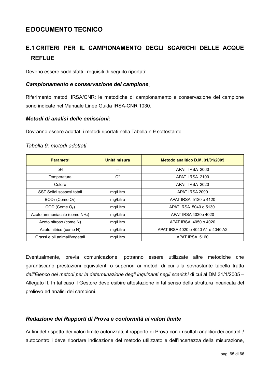## <span id="page-64-4"></span>**E DOCUMENTO TECNICO**

# <span id="page-64-3"></span>**E.1 CRITERI PER IL CAMPIONAMENTO DEGLI SCARICHI DELLE ACQUE REFLUE**

Devono essere soddisfatti i requisiti di seguito riportati:

#### <span id="page-64-2"></span>*Campionamento e conservazione del campione*

Riferimento metodi IRSA/CNR: le metodiche di campionamento e conservazione del campione sono indicate nel Manuale Linee Guida IRSA-CNR 1030.

#### <span id="page-64-1"></span>*Metodi di analisi delle emissioni:*

Dovranno essere adottati i metodi riportati nella Tabella n.9 sottostante

| <b>Parametri</b>                          | Unità misura | Metodo analitico D.M. 31/01/2005   |
|-------------------------------------------|--------------|------------------------------------|
| рH                                        |              | APAT IRSA 2060                     |
| Temperatura                               | $C^{\circ}$  | APAT IRSA 2100                     |
| Colore                                    | --           | APAT IRSA 2020                     |
| SST Solidi sospesi totali                 | mg/Litro     | APAT IRSA 2090                     |
| $BOD5$ (Come $O2$ )                       | mg/Litro     | APAT IRSA 5120 o 4120              |
| $COD$ (Come $O2$ )                        | mg/Litro     | APAT IRSA 5040 o 5130              |
| Azoto ammoniacale (come NH <sub>4</sub> ) | mg/Litro     | APAT IRSA 4030o 4020               |
| Azoto nitroso (come N)                    | mg/Litro     | APAT IRSA 4050 o 4020              |
| Azoto nitrico (come N)                    | mg/Litro     | APAT IRSA 4020 o 4040 A1 o 4040 A2 |
| Grassi e oli animali/vegetali             | mg/Litro     | APAT IRSA 5160                     |

#### *Tabella 9: metodi adottati*

Eventualmente, previa comunicazione, potranno essere utilizzate altre metodiche che garantiscano prestazioni equivalenti o superiori ai metodi di cui alla sovrastante tabella tratta *dall'Elenco dei metodi per la determinazione degli inquinanti negli scarichi* di cui al DM 31/1/2005 – Allegato II. In tal caso il Gestore deve esibire attestazione in tal senso della struttura incaricata del prelievo ed analisi dei campioni.

#### <span id="page-64-0"></span>*Redazione dei Rapporti di Prova e conformità ai valori limite*

Ai fini del rispetto dei valori limite autorizzati, il rapporto di Prova con i risultati analitici dei controlli/ autocontrolli deve riportare indicazione del metodo utilizzato e dell'incertezza della misurazione,